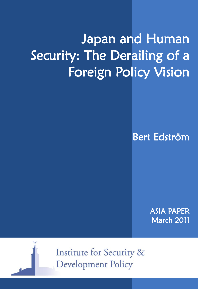# Japan and Human Security: The Derailing of a Foreign Policy Vision

Bert Edström

ASIA PAPER March 2011



**Institute for Security & Development Policy**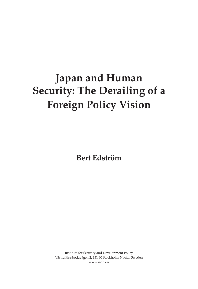## **Japan and Human Security: The Derailing of a Foreign Policy Vision**

**Bert Edström**

Institute for Security and Development Policy Västra Finnbodavägen 2, 131 30 Stockholm-Nacka, Sweden www.isdp.eu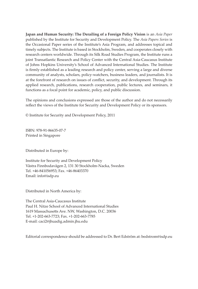**Japan and Human Security: The Derailing of a Foreign Policy Vision** is an *Asia Paper* published by the Institute for Security and Development Policy. The *Asia Papers Series* is the Occasional Paper series of the Institute's Asia Program, and addresses topical and timely subjects. The Institute is based in Stockholm, Sweden, and cooperates closely with research centers worldwide. Through its Silk Road Studies Program, the Institute runs a joint Transatlantic Research and Policy Center with the Central Asia-Caucasus Institute of Johns Hopkins University's School of Advanced International Studies. The Institute is firmly established as a leading research and policy center, serving a large and diverse community of analysts, scholars, policy-watchers, business leaders, and journalists. It is at the forefront of research on issues of conflict, security, and development. Through its applied research, publications, research cooperation, public lectures, and seminars, it functions as a focal point for academic, policy, and public discussion.

The opinions and conclusions expressed are those of the author and do not necessarily reflect the views of the Institute for Security and Development Policy or its sponsors.

© Institute for Security and Development Policy, 2011

ISBN: 978-91-86635-07-7 Printed in Singapore

Distributed in Europe by:

Institute for Security and Development Policy Västra Finnbodavägen 2, 131 30 Stockholm-Nacka, Sweden Tel. +46-841056953; Fax. +46-86403370 Email: info@isdp.eu

Distributed in North America by:

The Central Asia-Caucasus Institute Paul H. Nitze School of Advanced International Studies 1619 Massachusetts Ave. NW, Washington, D.C. 20036 Tel. +1-202-663-7723; Fax. +1-202-663-7785 E-mail: caci2@jhuadig.admin.jhu.edu

Editorial correspondence should be addressed to Dr. Bert Edström at: bedstrom@isdp.eu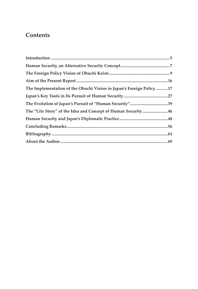## **Contents**

| The Implementation of the Obuchi Vision in Japan's Foreign Policy 17 |  |
|----------------------------------------------------------------------|--|
|                                                                      |  |
|                                                                      |  |
| The "Life Story" of the Idea and Concept of Human Security46         |  |
|                                                                      |  |
|                                                                      |  |
|                                                                      |  |
|                                                                      |  |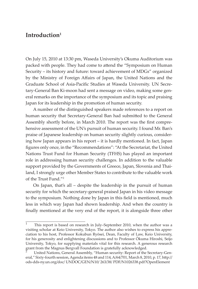## **Introduction1**

On July 15, 2010 at 13:30 pm, Waseda University's Okuma Auditorium was packed with people. They had come to attend the "Symposium on Human Security – its history and future: toward achievement of MDGs" organized by the Ministry of Foreign Affairs of Japan, the United Nations and the Graduate School of Asia-Pacific Studies at Waseda University. UN Secretary-General Ban Ki-moon had sent a message on video, making some general remarks on the importance of the symposium and its topic and praising Japan for its leadership in the promotion of human security.

A number of the distinguished speakers made references to a report on human security that Secretary-General Ban had submitted to the General Assembly shortly before, in March 2010. The report was the first comprehensive assessment of the UN's pursuit of human security. I found Mr. Ban's praise of Japanese leadership on human security slightly curious, considering how Japan appears in his report – it is hardly mentioned. In fact, Japan figures only once, in the "Recommendations": "At the Secretariat, the United Nations Trust Fund for Human Security (TFHS) has played an important role in addressing human security challenges. In addition to the valuable support provided by the Governments of Greece, Japan, Slovenia and Thailand, I strongly urge other Member States to contribute to the valuable work of the Trust Fund."2

On Japan, that's all – despite the leadership in the pursuit of human security for which the secretary-general praised Japan in his video message to the symposium. Nothing done by Japan in this field is mentioned, much less in which way Japan had shown leadership. And when the country is finally mentioned at the very end of the report, it is alongside three other

<sup>1</sup> This report is based on research in July–September 2010, when the author was a visiting scholar at Keio University, Tokyo. The author also wishes to express his appreciation to his host, Professor Kokubun Ryōsei, Dean, Faculty of Law, Keio University, for his generosity and enlightening discussions and to Professor Ōkuma Hiroshi, Seijo University, Tokyo, for supplying materials vital for this research. A generous research grant from the Magnus Bergvall Foundation is gratefully acknowledged.

<sup>2</sup> United Nations, General Assembly, "Human security: Report of the Secretary-General," Sixty-fourth session, Agenda items 48 and 114, A/64/701, March 8, 2010, p. 17, http:// ods-dds-ny.un.org/doc/ UNDOC/GEN/N10/ 263/38/ PDF/N1026338.pdf?OpenElement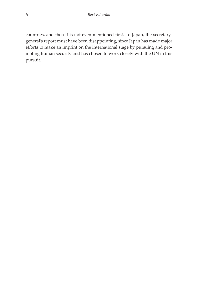countries, and then it is not even mentioned first. To Japan, the secretarygeneral's report must have been disappointing, since Japan has made major efforts to make an imprint on the international stage by pursuing and promoting human security and has chosen to work closely with the UN in this pursuit.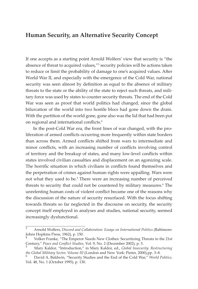## **Human Security, an Alternative Security Concept**

If one accepts as a starting point Arnold Wolfers' view that security is "the absence of threat to acquired values,"<sup>3</sup> security policies will be actions taken to reduce or limit the probability of damage to one's acquired values. After World War II, and especially with the emergence of the Cold War, national security was seen almost by definition as equal to the absence of military threats to the state or the ability of the state to reject such threats, and military force was used by states to counter security threats. The end of the Cold War was seen as proof that world politics had changed, since the global bifurcation of the world into two hostile blocs had gone down the drain. With the partition of the world gone, gone also was the lid that had been put on regional and international conflicts.4

In the post-Cold War era, the front lines of war changed, with the proliferation of armed conflicts occurring more frequently within state borders than across them. Armed conflicts shifted from wars to intermediate and minor conflicts, with an increasing number of conflicts involving control of territory and the breakup of states, and many low-level conflicts within states involved civilian casualties and displacement on an agonizing scale. The horrific situation in which civilians in conflicts found themselves and the perpetration of crimes against human rights were appalling. Wars were not what they used to be.<sup>5</sup> There were an increasing number of perceived threats to security that could not be countered by military measures.<sup>6</sup> The unrelenting human costs of violent conflict became one of the reasons why the discussion of the nature of security resurfaced. With the focus shifting towards threats so far neglected in the discourse on security, the security concept itself employed in analyses and studies, national security, seemed increasingly dysfunctional.

<sup>3</sup> Arnold Wolfers, *Discord and Collaboration: Essays on International Politics* (Baltimore: Johns Hopkins Press, 1962), p. 150.

Volker Franke, "The Emperor Needs New Clothes: Securitizing Threats in the 21st Century," *Peace and Conflict Studies,* Vol. 9, No. 2 (December 2002), p. 5. <sup>5</sup> Mary Kaldor, "Introduction," in Mary Kaldor, ed., *Global Insecurity: Restructuring* 

*the Global Military Sector, Volume III* (London and New York: Pinter, 2000),pp. 3–8.<br><sup>6</sup> David A. Baldwin, "Security Studies and the End of the Cold War," *World Politics,* 

Vol. 48, No. 1 (October 1995), p. 130.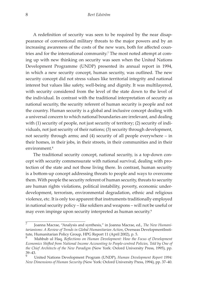A redefinition of security was seen to be required by the near disappearance of conventional military threats to the major powers and by an increasing awareness of the costs of the new wars, both for affected countries and for the international community.<sup>7</sup> The most noted attempt at coming up with new thinking on security was seen when the United Nations Development Programme (UNDP) presented its annual report in 1994, in which a new security concept, human security, was outlined. The new security concept did not stress values like territorial integrity and national interest but values like safety, well-being and dignity. It was multilayered, with security considered from the level of the state down to the level of the individual. In contrast with the traditional interpretation of security as national security, the security referent of human security is people and not the country. Human security is a global and inclusive concept dealing with a universal concern to which national boundaries are irrelevant, and dealing with (1) security of people, not just security of territory; (2) security of individuals, not just security of their nations; (3) security through development, not security through arms; and (4) security of all people everywhere – in their homes, in their jobs, in their streets, in their communities and in their environment.<sup>8</sup>

The traditional security concept, national security, is a top-down concept with security commensurate with national survival, dealing with protection of the state and not those living there. In contrast, human security is a bottom-up concept addressing threats to people and ways to overcome them. With people the security referent of human security, threats to security are human rights violations, political instability, poverty, economic underdevelopment, terrorism, environmental degradation, ethnic and religious violence, etc. It is only too apparent that instruments traditionally employed in national security policy – like soldiers and weapons – will not be useful or may even impinge upon security interpreted as human security.<sup>9</sup>

<sup>7</sup> Joanna Macrae, "Analysis and synthesis," in Joanna Macrae, ed., *The New Humanitarianisms: A Review of Trends in Global Humanitarian Action*, Overseas DevelopmentInstitute, Humanitarian Policy Group, HPG Report 11 (April 2002), p. 5.

<sup>8</sup> Mahbub ul Haq, *Reflections on Human Development: How the Focus of Development Economics Shifted from National Income Accounting to People-centred Policies, Told by One of the Chief Architects of the New Paradigm* (New York: Oxford University Press, 1995), pp. 39–43.

<sup>9</sup> United Nations Development Program (UNDP), *Human Development Report 1994: New Dimensions of Human Security* (New York: Oxford University Press, 1994), pp. 37–40.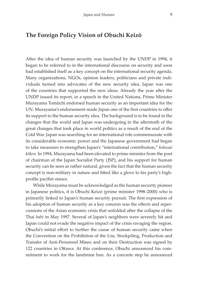## **The Foreign Policy Vision of Obuchi Keizō**

After the idea of human security was launched by the UNDP in 1994, it began to be referred to in the international discourse on security and soon had established itself as a key concept on the international security agenda. Many organizations, NGOs, opinion leaders, politicians and private individuals turned into advocates of the new security idea. Japan was one of the countries that supported the new ideas. Already the year after the UNDP issued its report, in a speech in the United Nations, Prime Minister Murayama Tomiichi endorsed human security as an important idea for the UN. Murayama's endorsement made Japan one of the first countries to offer its support to the human security idea. The background is to be found in the changes that the world and Japan was undergoing in the aftermath of the great changes that took place in world politics as a result of the end of the Cold War. Japan was searching for an international role commensurate with its considerable economic power and the Japanese government had began to take measures to strengthen Japan's "international contribution," *kokusai kōken.* In 1994, Murayama had been elevated to prime minister from the post of chairman of the Japan Socialist Party (JSP), and his support for human security can be seen as rather natural, given the fact that the human security concept is non-military in nature and fitted like a glove to his party's highprofile pacifist stance.

While Murayama must be acknowledged as the human security pioneer in Japanese politics, it is Obuchi Keizō (prime minister 1998–2000) who is primarily linked to Japan's human security pursuit. The first expression of his adoption of human security as a key concern was the effects and repercussions of the Asian economic crisis that unfolded after the collapse of the Thai *baht* in May 1997. Several of Japan's neighbors were severely hit and Japan could not evade the negative impact of the crisis ravaging the region. Obuchi's initial effort to further the cause of human security came when the Convention on the Prohibition of the Use, Stockpiling, Production and Transfer of Anti-Personnel Mines and on their Destruction was signed by 122 countries in Ottawa. At this conference, Obuchi announced his commitment to work for the landmine ban. As a concrete step he announced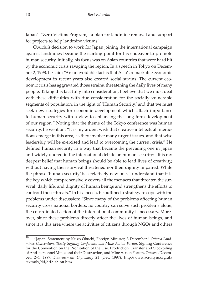Japan's "Zero Victims Program," a plan for landmine removal and support for projects to help landmine victims.10

Obuchi's decision to work for Japan joining the international campaign against landmines became the starting point for his endeavor to promote human security. Initially, his focus was on Asian countries that were hard hit by the economic crisis ravaging the region. In a speech in Tokyo on December 2, 1998, he said: "An unavoidable fact is that Asia's remarkable economic development in recent years also created social strains. The current economic crisis has aggravated those strains, threatening the daily lives of many people. Taking this fact fully into consideration, I believe that we must deal with these difficulties with due consideration for the socially vulnerable segments of population, in the light of 'Human Security,' and that we must seek new strategies for economic development which attach importance to human security with a view to enhancing the long term development of our region." Noting that the theme of the Tokyo conference was human security, he went on: "It is my ardent wish that creative intellectual interactions emerge in this area, as they involve many urgent issues, and that wise leadership will be exercised and lead to overcoming the current crisis." He defined human security in a way that became the prevailing one in Japan and widely quoted in the international debate on human security: "It is my deepest belief that human beings should be able to lead lives of creativity, without having their survival threatened nor their dignity impaired. While the phrase 'human security' is a relatively new one, I understand that it is the key which comprehensively covers all the menaces that threaten the survival, daily life, and dignity of human beings and strengthens the efforts to confront those threats." In his speech, he outlined a strategy to cope with the problems under discussion: "Since many of the problems affecting human security cross national borders, no country can solve such problems alone; the co-ordinated action of the international community is necessary. Moreover, since these problems directly affect the lives of human beings, and since it is this area where the activities of citizens through NGOs and others

<sup>10</sup> "Japan: Statement by Keizo Obuchi, Foreign Minister, 3 December," *Ottawa Landmines Convention: Treaty Signing Conference and Mine Action Forum.* Signing Conference for the Convention on the Prohibition of the Use, Production, Transfer and Stockpiling of Anti-personnel Mines and their Destruction, and Mine Action Forum, Ottawa, December, 2–4, 1997, *Disarmament Diplomacy* 21 (Dec. 1997), http://www.acronym.org.uk/ textonly/dd/dd21/21ott.htm.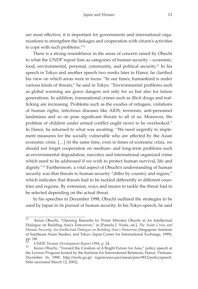are most effective, it is important for governments and international organizations to strengthen the linkages and cooperation with citizen's activities to cope with such problems."11

There is a strong resemblance in the areas of concern raised by Obuchi to what the UNDP report lists as categories of human security – economic, food, environmental, personal, community, and political security.12 In his speech in Tokyo and another speech two weeks later in Hanoi, he clarified his view on which areas were in focus: "In our times, humankind is under various kinds of threats," he said in Tokyo. "Environmental problems such as global warming are grave dangers not only for us but also for future generations. In addition, transnational crimes such as illicit drugs and trafficking are increasing. Problems such as the exodus of refugees, violations of human rights, infectious diseases like AIDS, terrorism, anti-personnel landmines and so on pose significant threats to all of us. Moreover, the problem of children under armed conflict ought never to be overlooked." In Hanoi, he returned to what was awaiting: "We need urgently to implement measures for the socially vulnerable who are affected by the Asian economic crisis. […] At the same time, even in times of economic crisis, we should not forget cooperation on medium- and long-term problems such as environmental degradation, narcotics and international organized crime which need to be addressed if we wish to protect human survival, life and dignity."13 Furthermore, a vital aspect of Obuchi's understanding of human security was that threats to human security "differ by country and region," which indicates that threats had to be tackled differently in different countries and regions. By extension, ways and means to tackle the threat had to be selected depending on the actual threat.

In his speeches in December 1998, Obuchi outlined the strategies to be used by Japan in its pursuit of human security. In his Tokyo speech, he said

<sup>11</sup> Keizo Obuchi, "Opening Remarks by Prime Minister Obuchi at An Intellectual Dialogue on Building Asia's Tomorrow," in [Pamela J. Noda, ed.], *The Asian Crisis and Human Security: An Intellectual Dialogue on Building Asia's Tomorrow* (Singapore: Institute of Southeast Asian Studies, and Tokyo: Japan Center for International Exchange, 1999), pp. 18f.

<sup>&</sup>lt;sup>12</sup> UNDP, *Human Development Report 1994*, p. 24.<br><sup>13</sup> Keizo Obuchi, "Toward the Creation of A Bright Future for Asia," policy speech at the Lecture Program hosted by the Institute for International Relations, Hanoi, Vietnam, December 16, 1998, http://mofa.go.jp/ region/asia-paci/asean/pmv9812/policyspeech. htlm (accessed March 12, 2002).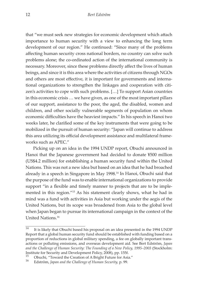that "we must seek new strategies for economic development which attach importance to human security with a view to enhancing the long term development of our region." He continued: "Since many of the problems affecting human security cross national borders, no country can solve such problems alone; the co-ordinated action of the international community is necessary. Moreover, since these problems directly affect the lives of human beings, and since it is this area where the activities of citizens through NGOs and others are most effective, it is important for governments and international organizations to strengthen the linkages and cooperation with citizen's activities to cope with such problems. […] To support Asian countries in this economic crisis … we have given, as one of the most important pillars of our support, assistance to the poor, the aged, the disabled, women and children, and other socially vulnerable segments of population on whom economic difficulties have the heaviest impacts." In his speech in Hanoi two weeks later, he clarified some of the key instruments that were going to be mobilized in the pursuit of human security: "Japan will continue to address this area utilizing its official development assistance and multilateral frameworks such as APEC."

Picking up on an idea in the 1994 UNDP report, Obuchi announced in Hanoi that the Japanese government had decided to donate ¥500 million (US\$4.2 million) for establishing a human security fund within the United Nations. This was not a new idea but based on an idea that he had broached already in a speech in Singapore in May 1998.14 In Hanoi, Obuchi said that the purpose of the fund was to enable international organizations to provide support "in a flexible and timely manner to projects that are to be implemented in this region."15 As his statement clearly shows, what he had in mind was a fund with activities in Asia but working under the aegis of the United Nations, but its scope was broadened from Asia to the global level when Japan began to pursue its international campaign in the context of the United Nations.16

<sup>&</sup>lt;sup>14</sup> It is likely that Obuchi based his proposal on an idea presented in the 1994 UNDP Report that a global human security fund should be established with funding based on a proportion of reductions in global military spending, a fee on globally important transactions or polluting emissions, and overseas development aid. See Bert Edström, *Japan and the Challenge of Human Security: The Founding of a New Policy, 1995–2003* (Stockholm: Institute for Security and Development Policy, 2008), pp. 155f.

<sup>15</sup> Obuchi, "Toward the Creation of A Bright Future for Asia." 16 Edström, *Japan and the Challenge of Human Security,* p. 99.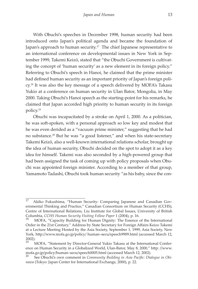With Obuchi's speeches in December 1998, human security had been introduced onto Japan's political agenda and became the foundation of Japan's approach to human security.<sup>17</sup> The chief Japanese representative to an international conference on developmental issues in New York in September 1999, Takemi Keizō, stated that "the Obuchi Government is cultivating the concept of 'human security' as a new element in its foreign policy." Referring to Obuchi's speech in Hanoi, he claimed that the prime minister had defined human security as an important priority of Japan's foreign poli $cy<sup>18</sup>$  It was also the key message of a speech delivered by MOFA's Takasu Yukio at a conference on human security in Ulan Bator, Mongolia, in May 2000. Taking Obuchi's Hanoi speech as the starting-point for his remarks, he claimed that Japan accorded high priority to human security in its foreign policy.19

Obuchi was incapacitated by a stroke on April 1, 2000. As a politician, he was soft-spoken, with a personal approach so low key and modest that he was even derided as a "vacuum prime minister," suggesting that he had no substance.20 But he was "a good listener," and when his state-secretary Takemi Keizō, also a well-known international relations scholar, brought up the idea of human security, Obuchi decided on the spot to adopt it as a key idea for himself. Takemi was also seconded by a high-powered group that had been assigned the task of coming up with policy proposals when Obuchi was appointed foreign minister. According to a member of that group, Yamamoto Tadashi, Obuchi took human security "as his baby, since the con-

<sup>17</sup> Akiko Fukushima, "Human Security: Comparing Japanese and Canadian Governmental Thinking and Practice," Canadian Consortium on Human Security (CCHS), Centre of International Relations, Liu Institute for Global Issues, University of British Columbia, *CCHS Human Security Visiting Fellow Paper* 1 (2004), p. 16. <sup>18</sup> MOFA, "Capacity Building for Human Dignity: The Essence of the International

Order in the 21st Century." Address by State Secretary for Foreign Affairs Keizo Takemi at a Lecture Meeting Hosted by the Asia Society, September 1, 1999, Asia Society, New York, http://www.mofa.go.jp/policy/ human–secu/speech9909.html (accessed March 12, 2002).

<sup>&</sup>lt;sup>19</sup> MOFA, "Statement by Director-General Yukio Takasu at the International Conference on Human Security in a Globalized World, Ulan-Bator, May 8, 2000," http: //www. mofa.go.jp/policy/human–secu/speech0005.html (accessed March 12, 2002).<br>20 See Obushi's our commont in Community Building in Asia Basific: Dig

See Obuchi's own comment in *Community Building in Asia Pacific: Dialogue in Okinawa* (Tokyo: Japan Center for International Exchange, 2000), p. 22.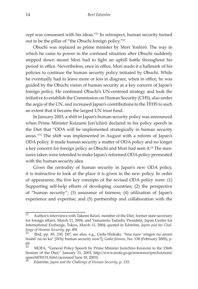cept was consonant with his ideas."21 In retrospect, human security turned out to be the pillar of "the Obuchi foreign policy."<sup>22</sup>

Obuchi was replaced as prime minister by Mori Yoshirō. The way in which he came to power in the confused situation after Obuchi suddenly stepped down meant Mori had to fight an uphill battle throughout his period in office. Nevertheless, once in office, Mori made it a hallmark of his policies to continue the human security policy initiated by Obuchi. While he eventually had to leave more or less in disgrace, when in office, he was guided by the Obuchi vision of human security as a key concern of Japan's foreign policy. He continued Obuchi's UN-centered strategy and took the initiative to establish the Commission on Human Security (CHS), also under the aegis of the UN, and increased Japan's contributions to the TFHS to such an extent that it became the largest UN trust fund.

In January 2003, a shift in Japan's human security policy was announced when Prime Minister Koizumi Jun'ichirō declared in his policy speech in the Diet that "ODA will be implemented strategically in human security areas."23 The shift was implemented in August with a reform of Japan's ODA policy. It made human security a matter of ODA policy and no longer a key concern for foreign policy as Obuchi and Mori had seen it.<sup>24</sup> The measures taken were intended to make Japan's reformed ODA policy permeated with the human security idea.

Given the centrality of human security in Japan's new ODA policy, it is instructive to look at the place it is given in the new policy. In order of appearance, the five key concepts of the revised ODA policy were: (1) Supporting self-help efforts of developing countries; (2) the perspective of "human security"; (3) assurance of fairness; (4) utilization of Japan's experience and expertise; and (5) partnership and collaboration with the

<sup>&</sup>lt;sup>21</sup> Author's interviews with Takemi Keizō, member of the Diet, former state-secretary for foreign affairs, March 11, 2004, and Yamamoto Tadashi, President, Japan Center for International Exchange, Tokyo, March 11, 2004; quoted in Edström, *Japan and the Challenge of Human Security, pp. 85f.*<br><sup>22</sup> Ibid, pp. 85, 230, 247; see also, e.g., Ueda Hideaki, "Ima naze 'ningen no anzen

hoshō' na no ka" [Why human security now?], *Gaikō fōramu,* No. 138 (February 2000), p. 69.

<sup>23</sup> MOFA, "General Policy Speech by Prime Minister Junichiro Koizumi to the 156th Session of the Diet," January 31, 2003, http://www.mofa.go.jp/announce/pm/koizumi/ speech030131.html (accessed June 18, 2003).

<sup>24</sup> Edström, *Japan and the Challenge of Human Security,* p. 133.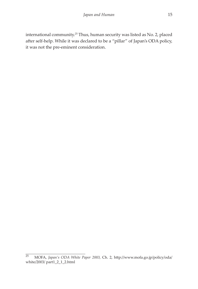international community.25 Thus, human security was listed as No. 2, placed after self-help. While it was declared to be a "pillar" of Japan's ODA policy, it was not the pre-eminent consideration.

<sup>25</sup> MOFA, *Japan's ODA White Paper 2003,* Ch. 2, http://www.mofa.go.jp/policy/oda/ white/2003/ part1\_2\_1\_2.html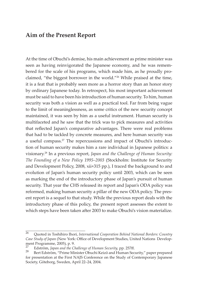## **Aim of the Present Report**

At the time of Obuchi's demise, his main achievement as prime minister was seen as having reinvigorated the Japanese economy, and he was remembered for the scale of his programs, which made him, as he proudly proclaimed, "the biggest borrower in the world."26 While praised at the time, it is a feat that is probably seen more as a horror story than an honor story by ordinary Japanese today. In retrospect, his most important achievement must be said to have been his introduction of human security. To him, human security was both a vision as well as a practical tool. Far from being vague to the limit of meaninglessness, as some critics of the new security concept maintained, it was seen by him as a useful instrument. Human security is multifaceted and he saw that the trick was to pick measures and activities that reflected Japan's comparative advantages. There were real problems that had to be tackled by concrete measures, and here human security was a useful compass.<sup>27</sup> The repercussions and impact of Obuchi's introduction of human security makes him a rare individual in Japanese politics: a visionary.28 In a previous report, *Japan and the Challenge of Human Security: The Founding of a New Policy 1995–2003* (Stockholm: Institute for Security and Development Policy, 2008, xii+315 pp.), I traced the background to and evolution of Japan's human security policy until 2003, which can be seen as marking the end of the introductory phase of Japan's pursuit of human security. That year the CHS released its report and Japan's ODA policy was reformed, making human security a pillar of the new ODA policy. The present report is a sequel to that study. While the previous report deals with the introductory phase of this policy, the present report assesses the extent to which steps have been taken after 2003 to make Obuchi's vision materialize.

<sup>26</sup> Quoted in Toshihiro Ihori, *International Cooperation Behind National Borders: Country Case Study of Japan* (New York: Office of Development Studies, United Nations Development Programme, 2005), p. 9.

<sup>&</sup>lt;sup>27</sup> Edström, *Japan and the Challenge of Human Security*, pp. 257ff.<br><sup>28</sup> Bert Edström, "Prime Minister Obuchi Keizō and Human Security," paper prepared for presentation at the First NAJS Conference on the Study of Contemporary Japanese Society, Göteborg, Sweden, April 22–24, 2004.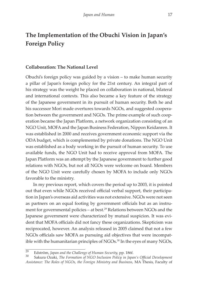## **The Implementation of the Obuchi Vision in Japan's Foreign Policy**

#### **Collaboration: The National Level**

Obuchi's foreign policy was guided by a vision – to make human security a pillar of Japan's foreign policy for the 21st century. An integral part of his strategy was the weight he placed on collaboration in national, bilateral and international contexts. This also became a key feature of the strategy of the Japanese government in its pursuit of human security. Both he and his successor Mori made overtures towards NGOs, and suggested cooperation between the government and NGOs. The prime example of such cooperation became the Japan Platform, a network organization consisting of an NGO Unit, MOFA and the Japan Business Federation, Nippon Keidanren. It was established in 2000 and receives government economic support via the ODA budget, which is complemented by private donations. The NGO Unit was established as a body working in the pursuit of human security. To use available funds, the NGO Unit had to receive approval from MOFA. The Japan Platform was an attempt by the Japanese government to further good relations with NGOs, but not all NGOs were welcome on board. Members of the NGO Unit were carefully chosen by MOFA to include only NGOs favorable to the ministry.

In my previous report, which covers the period up to 2003, it is pointed out that even while NGOs received official verbal support, their participation in Japan's overseas aid activities was not extensive. NGOs were not seen as partners on an equal footing by government officials but as an instrument for governmental policies – at best.<sup>29</sup> Relations between NGOs and the Japanese government were characterized by mutual suspicion. It was evident that MOFA officials did not fancy these organizations. Skepticism was reciprocated, however. An analysis released in 2005 claimed that not a few NGOs officials saw MOFA as pursuing aid objectives that were incompatible with the humanitarian principles of NGOs.<sup>30</sup> In the eyes of many NGOs,

<sup>&</sup>lt;sup>29</sup> Edström, *Japan and the Challenge of Human Security*, pp. 186f.<br><sup>30</sup> Sakura Ozaki, *The Formation of NGO Inclusion Policy in Japan's Official Development Assistance: The Roles of NGOs, the Foreign Ministry and Business,* MA Thesis, Faculty of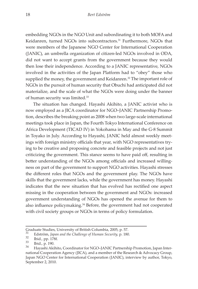embedding NGOs in the NGO Unit and subordinating it to both MOFA and Keidanren, turned NGOs into subcontractors.<sup>31</sup> Furthermore, NGOs that were members of the Japanese NGO Center for International Cooperation (JANIC), an umbrella organization of citizen-led NGOs involved in ODA, did not want to accept grants from the government because they would then lose their independence. According to a JANIC representative, NGOs involved in the activities of the Japan Platform had to "obey" those who supplied the money, the government and Keidanren. $32$  The important role of NGOs in the pursuit of human security that Obuchi had anticipated did not materialize, and the scale of what the NGOs were doing under the banner of human security was limited.<sup>33</sup>

The situation has changed. Hayashi Akihito, a JANIC activist who is now employed as a JICA coordinator for NGO–JANIC Partnership Promotion, describes the breaking point as 2008 when two large-scale international meetings took place in Japan, the Fourth Tokyo International Conference on Africa Development (TICAD IV) in Yokohama in May and the G-8 Summit in Toyako in July. According to Hayashi, JANIC held almost weekly meetings with foreign ministry officials that year, with NGO representatives trying to be creative and proposing concrete and feasible projects and not just criticizing the government. This stance seems to have paid off, resulting in better understanding of the NGOs among officials and increased willingness on part of the government to support NGO activities. Hayashi stresses the different roles that NGOs and the government play. The NGOs have skills that the government lacks, while the government has money. Hayashi indicates that the new situation that has evolved has rectified one aspect missing in the cooperation between the government and NGOs: increased government understanding of NGOs has opened the avenue for them to also influence policymaking. $34$  Before, the government had not cooperated with civil society groups or NGOs in terms of policy formulation.

Graduate Studies, University of British Columbia, 2005, p. 57.

<sup>31</sup> Edström, *Japan and the Challenge of Human Security*, p. 180.<br><sup>32</sup> Ibid., pp. 178f.<br><sup>33</sup> Ibid., p. 190.<br><sup>34</sup> Hayashi Akihito, Coordinator for NGO–JANIC Partnership Promotion, Japan International Cooperation Agency (JICA), and a member of the Research & Advocacy Group, Japan NGO Center for International Cooperation (JANIC), interview by author, Tokyo, September 2, 2010.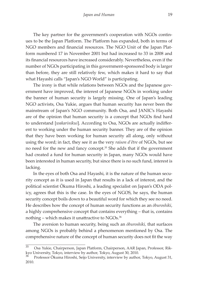The key partner for the government's cooperation with NGOs continues to be the Japan Platform. The Platform has expanded, both in terms of NGO members and financial resources. The NGO Unit of the Japan Platform numbered 17 in November 2001 but had increased to 33 in 2008 and its financial resources have increased considerably. Nevertheless, even if the number of NGOs participating in this government-sponsored body is larger than before, they are still relatively few, which makes it hard to say that what Hayashi calls "Japan's NGO World" is participating.

The irony is that while relations between NGOs and the Japanese government have improved, the interest of Japanese NGOs in working under the banner of human security is largely missing. One of Japan's leading NGO activists, Osa Yukie, argues that human security has never been the mainstream of Japan's NGO community. Both Osa, and JANIC's Hayashi are of the opinion that human security is a concept that NGOs find hard to understand [*wakarinikui*]. According to Osa, NGOs are actually indifferent to working under the human security banner. They are of the opinion that they have been working for human security all along, only without using the word; in fact, they see it as the very *raison d'être* of NGOs, but see no need for the new and fancy concept.35 She adds that if the government had created a fund for human security in Japan, many NGOs would have been interested in human security, but since there is no such fund, interest is lacking.

In the eyes of both Osa and Hayashi, it is the nature of the human security concept as it is used in Japan that results in a lack of interest, and the political scientist Ōkuma Hiroshi, a leading specialist on Japan's ODA policy, agrees that this is the case. In the eyes of NGOS, he says, the human security concept boils down to a beautiful word for which they see no need. He describes how the concept of human security functions as an *ōburoshiki*, a highly comprehensive concept that contains everything – that is, contains nothing – which makes it unattractive to NGOs.<sup>36</sup>

The aversion to human security, being such an *ōburoshiki,* that surfaces among NGOs is probably behind a phenomenon mentioned by Osa. The comprehensive nature of the concept of human security does not fit the way

<sup>35</sup> Osa Yukie, Chairperson, Japan Platform, Chairperson, AAR Japan, Professor, Rikkyo University, Tokyo, interview by author, Tokyo, August 30, 2010.

<sup>36</sup> Professor Ōkuma Hiroshi, Seijo University, interview by author, Tokyo, August 31, 2010.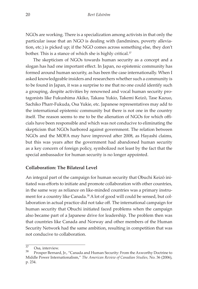NGOs are working. There is a specialization among activists in that only the particular issue that an NGO is dealing with (landmines, poverty alleviation, etc.) is picked up; if the NGO comes across something else, they don't bother. This is a stance of which she is highly critical.<sup>37</sup>

The skepticism of NGOs towards human security as a concept and a slogan has had one important effect. In Japan, no epistemic community has formed around human security, as has been the case internationally. When I asked knowledgeable insiders and researchers whether such a community is to be found in Japan, it was a surprise to me that no one could identify such a grouping, despite activities by renowned and vocal human security protagonists like Fukushima Akiko, Takasu Yukio, Takemi Keizō, Tase Kazuo, Sachiko Pharr-Fukuda, Osa Yukie, etc. Japanese representatives may add to the international epistemic community but there is not one in the country itself. The reason seems to me to be the alienation of NGOs for which officials have been responsible and which was not conducive to eliminating the skepticism that NGOs harbored against government. The relation between NGOs and the MOFA may have improved after 2008, as Hayashi claims, but this was years after the government had abandoned human security as a key concern of foreign policy, symbolized not least by the fact that the special ambassador for human security is no longer appointed.

#### **Collaboration: The Bilateral Level**

An integral part of the campaign for human security that Obuchi Keizō initiated was efforts to initiate and promote collaboration with other countries, in the same way as reliance on like-minded countries was a primary instrument for a country like Canada.<sup>38</sup> A lot of good will could be sensed, but collaboration in actual practice did not take off. The international campaign for human security that Obuchi initiated faced problems when the campaign also became part of a Japanese drive for leadership. The problem then was that countries like Canada and Norway and other members of the Human Security Network had the same ambition, resulting in competition that was not conducive to collaboration.

 $\overline{37}$  Osa, interview.

<sup>38</sup> Prosper Bernard, Jr., "Canada and Human Security: From the Axworthy Doctrine to Middle Power Internationalism," *The American Review of Canadian Studies,* No. 36 (2006), p. 234.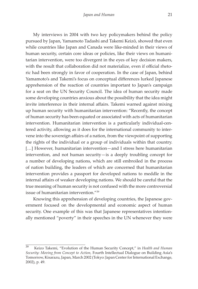My interviews in 2004 with two key policymakers behind the policy pursued by Japan, Yamamoto Tadashi and Takemi Keizō, showed that even while countries like Japan and Canada were like-minded in their views of human security, certain core ideas or policies, like their views on humanitarian intervention, were too divergent in the eyes of key decision makers, with the result that collaboration did not materialize, even if official rhetoric had been strongly in favor of cooperation. In the case of Japan, behind Yamamoto's and Takemi's focus on conceptual differences lurked Japanese apprehension of the reaction of countries important to Japan's campaign for a seat on the UN Security Council. The idea of human security made some developing countries anxious about the possibility that the idea might invite interference in their internal affairs. Takemi warned against mixing up human security with humanitarian intervention: "Recently, the concept of human security has been equated or associated with acts of humanitarian intervention. Humanitarian intervention is a particularly individual-centered activity, allowing as it does for the international community to intervene into the sovereign affairs of a nation, from the viewpoint of supporting the rights of the individual or a group of individuals within that country. [...] However, humanitarian intervention—and I stress here humanitarian intervention, and not human security—is a deeply troubling concept for a number of developing nations, which are still embroiled in the process of nation building, the leaders of which are concerned that humanitarian intervention provides a passport for developed nations to meddle in the internal affairs of weaker developing nations. We should be careful that the true meaning of human security is not confused with the more controversial issue of humanitarian intervention."39

Knowing this apprehension of developing countries, the Japanese government focused on the developmental and economic aspect of human security. One example of this was that Japanese representatives intentionally mentioned "poverty" in their speeches in the UN whenever they were

<sup>39</sup> Keizo Takemi, "Evolution of the Human Security Concept," in *Health and Human Security: Moving from Concept to Action,* Fourth Intellectual Dialogue on Building Asia's Tomorrow, Kisarazu, Japan, March 2002 (Tokyo: Japan Center for International Exchange, 2002), p. 49.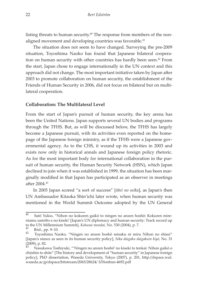listing threats to human security.<sup> $40$ </sup> The response from members of the nonaligned movement and developing countries was favorable.<sup>41</sup>

The situation does not seem to have changed. Surveying the pre-2009 situation, Toyoshima Naoko has found that Japanese bilateral cooperation on human security with other countries has hardly been seen.<sup>42</sup> From the start, Japan chose to engage internationally in the UN context and this approach did not change. The most important initiative taken by Japan after 2003 to promote collaboration on human security, the establishment of the Friends of Human Security in 2006, did not focus on bilateral but on multilateral cooperation.

#### **Collaboration: The Multilateral Level**

From the start of Japan's pursuit of human security, the key arena has been the United Nations. Japan supports several UN bodies and programs through the TFHS. But, as will be discussed below, the TFHS has largely become a Japanese pursuit, with its activities even reported on the homepage of the Japanese foreign ministry, as if the TFHS were a Japanese governmental agency. As to the CHS, it wound up its activities in 2003 and exists now only in historical annals and Japanese foreign policy rhetoric. As for the most important body for international collaboration in the pursuit of human security, the Human Security Network (HSN), which Japan declined to join when it was established in 1999, the situation has been marginally modified in that Japan has participated as an observer in meetings after 2004.43

In 2005 Japan scored "a sort of success" [*ittei no seika*], as Japan's then UN Ambassador Kitaoka Shin'ichi later wrote, when human security was mentioned in the World Summit Outcome adopted by the UN General

<sup>40</sup> Satō Yukio, "Nihon no kokuren gaikō to ningen no anzen hoshō: Kokuren mireniamu samitto e no kiseki' [Japan's UN diplomacy and human security: Track record up to the UN Millennium Summit], *Kokusai mondai,* No. 530 (2004), p. 7. <sup>41</sup> Ibid., pp. 9–10. <sup>42</sup> Toyoshima Naoko, "Ningen no anzen hoshō seisaku ni miru Nihon no shisei"

<sup>[</sup>Japan's stance as seen in its human security policy], *Sōka daigaku daigakuin kiyō,* No. 31 (2009), p. 82.

Nasukawa Toshiyuki, "'Ningen no anzen hoshō' no kiseki to tenkai: Nihon gaikō o chūshin to shite" [The history and development of "human security" in Japanese foreign policy], PhD dissertation, Waseda University, Tokyo (2007), p. 201, http://dspace.wul. waseda.ac.jp/dspace/bitstream/2065/28624/ 3/Honbun-4692.pdf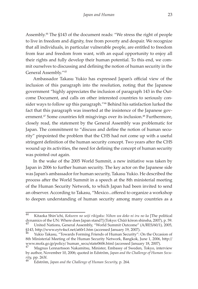Assembly.44 The §143 of the document reads: "We stress the right of people to live in freedom and dignity, free from poverty and despair. We recognize that all individuals, in particular vulnerable people, are entitled to freedom from fear and freedom from want, with an equal opportunity to enjoy all their rights and fully develop their human potential. To this end, we commit ourselves to discussing and defining the notion of human security in the General Assembly."45

Ambassador Takasu Yukio has expressed Japan's official view of the inclusion of this paragraph into the resolution, noting that the Japanese government "highly appreciates the inclusion of paragraph 143 in the Outcome Document, and calls on other interested countries to seriously consider ways to follow up this paragraph."46 Behind his satisfaction lurked the fact that this paragraph was inserted at the insistence of the Japanese government.<sup>47</sup> Some countries felt misgivings over its inclusion.<sup>48</sup> Furthermore, closely read, the statement by the General Assembly was problematic for Japan. The commitment to "discuss and define the notion of human security" pinpointed the problem that the CHS had not come up with a useful stringent definition of the human security concept. Two years after the CHS wound up its activities, the need for defining the concept of human security was pointed out again.

In the wake of the 2005 World Summit, a new initiative was taken by Japan in 2006 to further human security. The key actor on the Japanese side was Japan's ambassador for human security, Takasu Yukio. He described the process after the World Summit in a speech at the 8th ministerial meeting of the Human Security Network, to which Japan had been invited to send an observer. According to Takasu, "Mexico...offered to organize a workshop to deepen understanding of human security among many countries as a

<sup>44</sup> Kitaoka Shin'ichi, *Kokuren no seiji rikigaku: Nihon wa doko ni iru no ka* [The political dynamics of the UN: Where does Japan stand?] (Tokyo: Chūō kōron shinsha, 2007), p. 59. <sup>45</sup> United Nations, General Assembly, "World Summit Outcome" (A/RES/60/1), 2005,

<sup>§143,</sup> http://www.eytv4scf.net/a60r1.htm (accessed January 19, 2007).

Yukio Takasu, "Towards Forming Friends of Human Security": On the Occasion of 8th Ministerial Meeting of the Human Security Network, Bangkok, June 1, 2006, http:// www.mofa.go.jp/policy/ human\_secu/state0606.html (accessed January 18, 2007).

<sup>47</sup> Magnus Lennartsson Nakamitsu, Minister, Embassy of Sweden, Tokyo, interview by author, November 10, 2006; quoted in Edström, *Japan and the Challenge of Human Security,* pp. 263f. <sup>48</sup> Edström, *Japan and the Challenge of Human Security,* p. 264.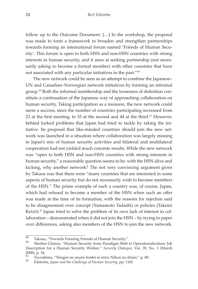follow up to the Outcome Document. […] In the workshop, the proposal was made to form a framework to broaden and strengthen partnerships towards forming an international forum named 'Friends of Human Security'. This forum is open to both HSN and non-HSN countries with strong interests in human security, and it aims at seeking partnership (not necessarily asking to become a formal member) with other countries that have not associated with any particular initiatives in the past."49

The new network could be seen as an attempt to combine the Japanese– UN and Canadian–Norwegian network initiatives by forming an informal group.50 Both the informal membership and the looseness of definition constitute a continuation of the Japanese way of approaching collaboration on human security. Taking participation as a measure, the new network could seem a success, since the number of countries participating increased from 23 at the first meeting, to 33 at the second and 44 at the third.<sup>51</sup> However, behind lurked problems that Japan had tried to tackle by taking the initiative. Its proposal that like-minded countries should join the new network was launched in a situation where collaboration was largely missing in Japan's mix of human security activities and bilateral and multilateral cooperation had not yielded much concrete results. While the new network was "open to both HSN and non-HSN countries with strong interests in human security," a reasonable question seems to be: with the HSN alive and kicking, why another network? The not very convincing argument given by Takasu was that there were "many countries that are interested in some aspects of human security but do not necessarily wish to become members of the HSN." The prime example of such a country was, of course, Japan, which had refused to become a member of the HSN when such an offer was made at the time of its formation, with the reasons for rejection said to be disagreement over concept (Yamamoto Tadashi) or policies (Takemi Keizō).<sup>52</sup> Japan tried to solve the problem of its own lack of interest in collaboration – demonstrated when it did not join the HSN – by trying to paper over differences, asking also members of the HSN to join the new network.

 $\frac{49}{49}$  Takasu, "Towards Forming Friends of Human Security."<br>
Marlies Glasius, "Human Security from Paradigm Shift to Operationalization: Job Description for a Human Security Worker," *Security Dialogue*, Vol. 39, No. 1 (March 2008), p. 34.<br>51 Toyoth

<sup>51</sup> Toyoshima, "Ningen no anzen hoshō ni miru Nihon no shisei," p. 80. <sup>52</sup> Edström, *Japan and the Challenge of Human Security,* pp. 110f.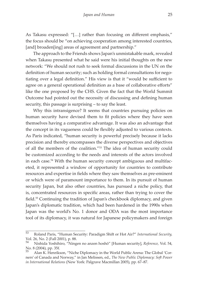As Takasu expressed: "[…] rather than focusing on different emphasis," the focus should be "on achieving cooperation among interested countries, [and] broaden[ing] areas of agreement and partnership."

The approach to the Friends shows Japan's unmistakable mark, revealed when Takasu presented what he said were his initial thoughts on the new network: "We should not rush to seek formal discussions in the UN on the definition of human security; such as holding formal consultations for negotiating over a legal definition." His view is that it "would be sufficient to agree on a general operational definition as a base of collaborative efforts" like the one proposed by the CHS. Given the fact that the World Summit Outcome had pointed out the necessity of discussing and defining human security, this passage is surprising – to say the least.

Why this intransigence? It seems that countries pursuing policies on human security have devised them to fit policies where they have seen themselves having a comparative advantage. It was also an advantage that the concept in its vagueness could be flexibly adjusted to various contexts. As Paris indicated, "human security is powerful precisely because it lacks precision and thereby encompasses the diverse perspectives and objectives of all the members of the coalition."53 The idea of human security could be customized according to the needs and interests of the actors involved in each case.54 With the human security concept ambiguous and multifaceted, it represented a window of opportunity for countries to contribute resources and expertise in fields where they saw themselves as pre-eminent or which were of paramount importance to them. In its pursuit of human security Japan, but also other countries, has pursued a niche policy, that is, concentrated resources in specific areas, rather than trying to cover the field.<sup>55</sup> Continuing the tradition of Japan's checkbook diplomacy, and given Japan's diplomatic tradition, which had been hardened in the 1990s when Japan was the world's No. 1 donor and ODA was the most importance tool of its diplomacy, it was natural for Japanese policymakers and foreign

<sup>53</sup> Roland Paris, "Human Security: Paradigm Shift or Hot Air?" *International Security,*  Vol. 26, No. 2 (Fall 2001), p. 88.

<sup>54</sup> Nishida Yoshihiro, "Ningen no anzen hoshō" [Human security], *Reference,* Vol. 54, No. 8 (2004), pp. 35f.

<sup>55</sup> Alan K. Henrikson, "Niche Diplomacy in the World Public Arena: The Global 'Corners' of Canada and Norway," in Jan Melissen, ed., *The New Public Diplomacy: Soft Power in International Relations* (New York: Palgrave Macmillan 2005), pp. 67–87.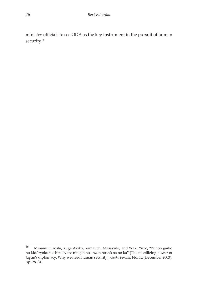ministry officials to see ODA as the key instrument in the pursuit of human security.<sup>56</sup>

<sup>56</sup> Minami Hiroshi, Yuge Akiko, Yamauchi Masayuki, and Waki Yūzō, "Nihon gaikō no kidōryoku to shite: Naze ningen no anzen hoshō na no ka" [The mobilizing power of Japan's diplomacy: Why we need human security], *Gaiko Forum,* No. 12 (December 2003), pp. 28–31.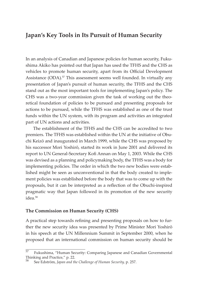## **Japan's Key Tools in Its Pursuit of Human Security**

In an analysis of Canadian and Japanese policies for human security, Fukushima Akiko has pointed out that Japan has used the TFHS and the CHS as vehicles to promote human security, apart from its Official Development Assistance (ODA).<sup>57</sup> This assessment seems well founded. In virtually any presentation of Japan's pursuit of human security, the TFHS and the CHS stand out as the most important tools for implementing Japan's policy. The CHS was a two-year commission given the task of working out the theoretical foundation of policies to be pursued and presenting proposals for actions to be pursued, while the TFHS was established as one of the trust funds within the UN system, with its program and activities an integrated part of UN actions and activities.

The establishment of the TFHS and the CHS can be accredited to two premiers. The TFHS was established within the UN at the initiative of Obuchi Keizō and inaugurated in March 1999, while the CHS was proposed by his successor Mori Yoshirō, started its work in June 2001 and delivered its report to UN General-Secretary Kofi Annan on May 1, 2003. While the CHS was devised as a planning and policymaking body, the TFHS was a body for implementing policies. The order in which the two new bodies were established might be seen as unconventional in that the body created to implement policies was established before the body that was to come up with the proposals, but it can be interpreted as a reflection of the Obuchi-inspired pragmatic way that Japan followed in its promotion of the new security  $idea<sup>58</sup>$ 

#### **The Commission on Human Security (CHS)**

A practical step towards refining and presenting proposals on how to further the new security idea was presented by Prime Minister Mori Yoshirō in his speech at the UN Millennium Summit in September 2000, when he proposed that an international commission on human security should be

 $\frac{57}{2}$  Fukushima, "Human Security: Comparing Japanese and Canadian Governmental Thinking and Practice," p. 22.

<sup>58</sup> See Edström, *Japan and the Challenge of Human Security,* p. 257.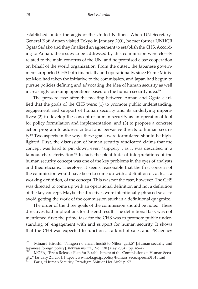established under the aegis of the United Nations. When UN Secretary-General Kofi Annan visited Tokyo in January 2001, he met former UNHCR Ogata Sadako and they finalized an agreement to establish the CHS. According to Annan, the issues to be addressed by this commission were closely related to the main concerns of the UN, and he promised close cooperation on behalf of the world organization. From the outset, the Japanese government supported CHS both financially and operationally, since Prime Minister Mori had taken the initiative to the commission, and Japan had begun to pursue policies defining and advocating the idea of human security as well increasingly pursuing operations based on the human security idea.<sup>59</sup>

The press release after the meeting between Annan and Ogata clarified that the goals of the CHS were: (1) to promote public understanding, engagement and support of human security and its underlying imperatives; (2) to develop the concept of human security as an operational tool for policy formulation and implementation; and (3) to propose a concrete action program to address critical and pervasive threats to human security.<sup>60</sup> Two aspects in the ways these goals were formulated should be highlighted. First, the discussion of human security vindicated claims that the concept was hard to pin down, even "slippery", as it was described in a famous characterization.<sup>61</sup> In fact, the plentitude of interpretations of the human security concept was one of the key problems in the eyes of analysts and theoreticians. Therefore, it seems reasonable that the first concern of the commission would have been to come up with a definition or, at least a working definition, of the concept. This was not the case, however. The CHS was directed to come up with an operational definition and not a definition of the key concept. Maybe the directives were intentionally phrased so as to avoid getting the work of the commission stuck in a definitional quagmire.

The order of the three goals of the commission should be noted. These directives had implications for the end result. The definitional task was not mentioned first; the prime task for the CHS was to promote public understanding of, engagement with and support for human security. It shows that the CHS was expected to function as a kind of sales and PR agency

<sup>59</sup> Minami Hiroshi, "Ningen no anzen hoshō to Nihon gaikō" [Human security and Japanese foreign policy], *Kokusai mondai*, No. 530 (May 2004), pp. 46–47.<br><sup>60</sup> MOFA, "Press Release: Plan for Establishment of the Commission on Human Secu-

rity," January 24, 2001, http://www.mofa.go.jp/policy/human\_secu/speech0101.html

Paris, "Human Security: Paradigm Shift or Hot Air?" p. 97.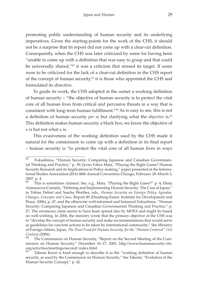promoting public understanding of human security and its underlying imperatives. Given the starting-points for the work of the CHS, it should not be a surprise that its report did not come up with a clear-cut definition. Consequently, when the CHS was later criticized by some for having been "unable to come up with a definition that was easy to grasp and that could be universally shared,"62 it was a criticism that missed its target. If some were to be criticized for the lack of a clear-cut definition in the CHS report of the concept of human security, $63$  it is those who appointed the CHS and formulated its directive.

To guide its work, the CHS adopted at the outset a working definition of human security – "the objective of human security is to protect the vital core of all human lives from critical and pervasive threats in a way that is consistent with long-term human fulfillment."64 As is easy to see, this is not a definition of human security *per se* but clarifying what the *objective* is.<sup>65</sup> This definition makes human security a black box; we know the objective of x is but not what x is.

This evasiveness of the working definition used by the CHS made it natural for the commission to come up with a definition in its final report – human security is "to protect the vital core of all human lives in ways

<sup>62</sup> Fukushima, "Human Security: Comparing Japanese and Canadian Governmental Thinking and Practice," p. 39; Javier Fabra Mata, "Playing the Right Game? Human Security Research and its Implications in Policy-making," paper presented at the International Studies Association (ISA) 48th Annual Convention Chicago, February 28–March 3,  $^{2007}$ , p. 4.<br><sup>63</sup> This

This is sometimes claimed. See, e.g., Mata, "Playing the Right Game?" p. 4; Elena Atanassova-Cornelis, "Defining and Implementing Human Security: The Case of Japan," in Tobias Debiel and Sascha Werthes, eds., *Human Security on Foreign Policy Agendas. Changes, Concepts and Cases,* Report 80 (Duisburg-Essen: Institute for Development and Peace, 2006), p. 47; and the otherwise well-informed and balanced Fukushima, "Human Security: Comparing Japanese and Canadian Governmental Thinking and Practice," p. 27. The erroneous claim seems to have been spread also by MOFA and might be based on well-wishing. In 2006, the ministry wrote that the primary objective of the CHS was to "develop the concept of human security and make recommendations that would serve as guidelines for concrete actions to be taken by international community." See Ministry of Foreign Affairs, Japan, *The Trust Fund for Human Security: for the "Human Centered" 21st Century* (2006).

The Commission on Human Security, "Report on the Second Meeting of the Commission on Human Security," December 16–17, 2001, http://www.humansecurity-chs. org/activities/meetings/second/ index.html

Takemi Keizō is kind enough to describe it as the "working definition of human security, as used by the Commission on Human Security." See Takemi, "Evolution of the Human Security Concept," p. 42.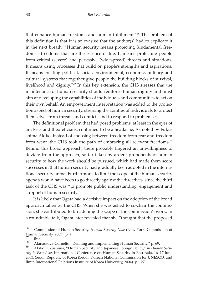that enhance human freedoms and human fulfillment."66 The problem of this definition is that it is so evasive that the author(s) had to explicate it in the next breath: "Human security means protecting fundamental freedoms—freedoms that are the essence of life. It means protecting people from critical (severe) and pervasive (widespread) threats and situations. It means using processes that build on people's strengths and aspirations. It means creating political, social, environmental, economic, military and cultural systems that together give people the building blocks of survival, livelihood and dignity."67 In this key extension, the CHS stresses that the maintenance of human security should reinforce human dignity and must aim at developing the capabilities of individuals and communities to act on their own behalf. An empowerment interpretation was added to the protection aspect of human security, stressing the abilities of individuals to protect themselves from threats and conflicts and to respond to problems.<sup>68</sup>

The definitional problem that had posed problems, at least in the eyes of analysts and theoreticians, continued to be a headache. As noted by Fukushima Akiko, instead of choosing between freedom from fear and freedom from want, the CHS took the path of embracing all relevant freedoms.<sup>69</sup> Behind this broad approach, there probably lingered an unwillingness to deviate from the approach, so far taken by ardent proponents of human security to how the work should be pursued, which had made them score successes in that human security had gradually been adopted in the international security arena. Furthermore, to limit the scope of the human security agenda would have been to go directly against the directives, since the third task of the CHS was "to promote public understanding, engagement and support of human security."

It is likely that Ogata had a decisive impact on the adoption of the broad approach taken by the CHS. When she was asked to co-chair the commission, she contributed to broadening the scope of the commission's work. In a roundtable talk, Ogata later revealed that she "thought that the proposed

<sup>66</sup> Commission of Human Security, *Human Security Now* (New York: Commission of Human Security, 2003), p. 4.<br>67

 $\begin{bmatrix} 67 \\ 68 \end{bmatrix}$  Ibid.

<sup>&</sup>lt;sup>68</sup> Atanassova-Cornelis, "Defining and Implementing Human Security," p. 69.<br><sup>69</sup> Akiko Fukushima, "Human Security and Japanese Foreign Policy," in *Human Secu-*

*rity in East Asia,* International Conference on Human Security in East Asia, 16–17 June 2003, Seoul, Republic of Korea (Seoul: Korean National Commission for UNESCO, and Ilmin International Relations Institute of Korea University, 2004), p. 127.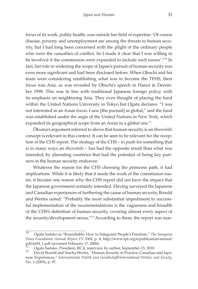focus of its work, public health, was outside her field of expertise: 'Of course disease, poverty and unemployment are among the threats to human security, but I had long been concerned with the plight of the ordinary people who were the casualties of conflict. So I made it clear that I was willing to be involved if the commission were expanded to include such issues'."70 In fact, her role in widening the scope of Japan's pursuit of human security was even more significant and had been disclosed before. When Obuchi and his team were considering establishing what was to become the TFHS, their focus was Asia, as was revealed by Obuchi's speech in Hanoi in December 1998. This was in line with traditional Japanese foreign policy, with its emphasis on neighboring Asia. They even thought of placing the fund within the United Nations University in Tokyo but Ogata declares: "I was not interested in an Asian focus. I saw [the pursuit] as global," and the fund was established under the aegis of the United Nations in New York, which expanded its geographical scope from an Asian to a global one.<sup>71</sup>

Ōkuma's argument referred to above that human security is an *ōburoshiki* concept is relevant in this context. It can be seen to be relevant for the reception of the CHS report. The strategy of the CHS – to push for something that is in many ways an *ōburoshiki –* has had the opposite result than what was intended, by alienating countries that had the potential of being key partners in the human security endeavor.

Whatever the reason for the CHS choosing the primrose path, it had implications. While it is likely that it made the work of the commission easier, it became one reason why the CHS report did not have the impact that the Japanese government certainly intended. Having surveyed the Japanese and Canadian experiences of furthering the cause of human security, Bosold and Wertes noted: "Probably the most substantial impediment to successful implementation of the recommendations is the vagueness and breadth of the CHS's definition of human security, covering almost every aspect of the security/development nexus."72 According to them, the report was mar-

<sup>70</sup> Ogata Sadako in "Roundtable: How to Safeguard People's Freedom," *The Sasagawa Peace Foundation Annual Report FY 2004,* p. 8, http://www.spf.org/e/publication/annual/ pdf/ar04\_1.pdf (accessed February 17, 2006).

Ogata Sadako, President, JICA, interview by author, September 15, 2010.<br>David Bosold and Sascha Wertes, "Human Security in Practice: Canadian and Japa-

nese Experiences," *Internationale Politik und Gesellschaft/International Politics and Society,* No. 1 (2005), p. 97.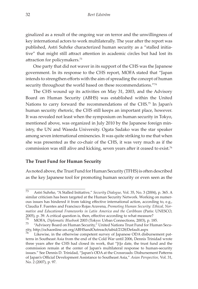ginalized as a result of the ongoing war on terror and the unwillingness of key international actors to work multilaterally. The year after the report was published, Astri Suhrke characterized human security as a "stalled initiative" that might still attract attention in academic circles but had lost its attraction for policymakers.73

One party that did not waver in its support of the CHS was the Japanese government. In its response to the CHS report, MOFA stated that "Japan intends to strengthen efforts with the aim of spreading the concept of human security throughout the world based on these recommendations."74

The CHS wound up its activities on May 31, 2003, and the Advisory Board on Human Security (ABHS) was established within the United Nations to carry forward the recommendations of the CHS.<sup>75</sup> In Japan's human security rhetoric, the CHS still keeps an important place, however. It was revealed not least when the symposium on human security in Tokyo, mentioned above, was organized in July 2010 by the Japanese foreign ministry, the UN and Waseda University. Ogata Sadako was the star speaker among seven international eminencies. It was quite striking to me that when she was presented as the co-chair of the CHS, it was very much as if the commission was still alive and kicking, seven years after it ceased to exist.76

#### **The Trust Fund for Human Security**

As noted above, the Trust Fund for Human Security (TFHS) is often described as the key Japanese tool for promoting human security or even seen as the

<sup>73</sup> Astri Suhrke, "A Stalled Initiative," *Security Dialogue,* Vol. 35, No. 3 (2004), p. 365. A similar criticism has been targeted at the Human Security Network. Working on numerous issues has hindered it from taking effective international action, according to, e.g., Claudia F. Fuentes and Francisco Rojas Aravena, *Promoting Human Security: Ethical, Normative and Educational Frameworks in Latin America and the Caribbean* (Paris: UNESCO, 2005), p. 39. A critical question is, then, effective according to what measure?

<sup>&</sup>lt;sup>74</sup> MOFA*, Diplomatic Bluebook* 2003 (Tokyo: Urban Connections, 2003), p. 185.<br><sup>75</sup> "Advisory Board on Human Security," United Nations Trust Fund for Human Security, http://ochaonline.un.org/ABHSandOutreach/tabid/2128/Default.aspx

Likewise, in the otherwise competent survey of Japanese ODA disbursement patterns in Southeast Asia from the end of the Cold War until 2006, Dennis Trinidad wrote three years after the CHS had closed its work, that "[t]o date, the trust fund and the commission remain at the center of Japan's multilateral response to human-security issues." See Dennis D. Trinidad, "Japan's ODA at the Crossroads: Disbursement Patterns of Japan's Official Development Assistance to Southeast Asia," *Asian Perspective,* Vol. 31, No. 2 (2007), p. 97.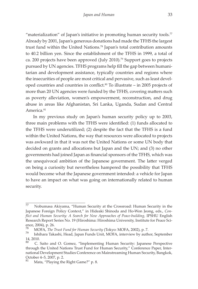"materialization" of Japan's initiative in promoting human security tools. $77$ Already by 2001, Japan's generous donations had made the TFHS the largest trust fund within the United Nations.78 Japan's total contribution amounts to 40.2 billion yen. Since the establishment of the TFHS in 1999, a total of ca. 200 projects have been approved (July 2010).<sup>79</sup> Support goes to projects pursued by UN agencies. TFHS programs help fill the gap between humanitarian and development assistance, typically countries and regions where the insecurities of people are most critical and pervasive, such as least developed countries and countries in conflict. $80$  To illustrate – in 2005 projects of more than 20 UN agencies were funded by the TFHS, covering matters such as poverty alleviation, women's empowerment, reconstruction, and drug abuse in areas like Afghanistan, Sri Lanka, Uganda, Sudan and Central America.<sup>81</sup>

In my previous study on Japan's human security policy up to 2003, three main problems with the TFHS were identified: (1) funds allocated to the TFHS were underutilized; (2) despite the fact that the TFHS is a fund within the United Nations, the way that resources were allocated to projects was awkward in that it was not the United Nations or some UN body that decided on grants and allocations but Japan and the UN; and (3) no other governments had joined Japan as financial sponsors of the TFHS, which was the unequivocal ambition of the Japanese government. The latter verged on being a curiosity but nevertheless hampered the possibility that TFHS would become what the Japanese government intended: a vehicle for Japan to have an impact on what was going on internationally related to human security.

 $\overline{77}$  Nobumasa Akiyama, "Human Security at the Crossroad: Human Security in the Japanese Foreign Policy Context," in Hideaki Shinoda and Ho-Won Jeong, eds., *Conflict and Human Security: A Search for New Approaches of Peace-building,* IPSHU English Research Report Series No. 19 (Hiroshima: Hiroshima University, Institute for Peace Science, 2004), p. 26.<br><sup>78</sup> MOEA The <sup>7</sup>

<sup>&</sup>lt;sup>78</sup> MOFA, *The Trust Fund for Human Security* (Tokyo: MOFA, 2002), p. 7.<br><sup>79</sup> Ishihara Takashi, Head, Japan Funds Unit, MOFA, interview by author, September 14, 2010.

<sup>80</sup> C. Saito and O. Gomez, "Implementing Human Security: Japanese Perspective through the United Nations Trust Fund for Human Security," Conference Paper, International Development Studies Conference on Mainstreaming Human Security, Bangkok, October 4–5, 2007, p. 2.

Mata, "Playing the Right Game?" p. 8.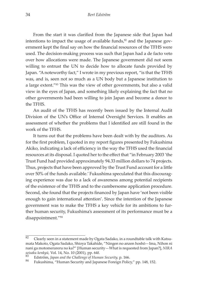From the start it was clarified from the Japanese side that Japan had intentions to impact the usage of available funds, $82$  and the Japanese government kept the final say on how the financial resources of the TFHS were used. The decision-making process was such that Japan had a de facto veto over how allocations were made. The Japanese government did not seem willing to entrust the UN to decide how to allocate funds provided by Japan. "A noteworthy fact," I wrote in my previous report, "is that the TFHS was, and is, seen not so much as a UN body but a Japanese institution to a large extent."<sup>83</sup> This was the view of other governments, but also a valid view in the eyes of Japan, and something likely explaining the fact that no other governments had been willing to join Japan and become a donor to the TFHS.

An audit of the TFHS has recently been issued by the Internal Audit Division of the UN's Office of Internal Oversight Services. It enables an assessment of whether the problems that I identified are still found in the work of the TFHS.

It turns out that the problems have been dealt with by the auditors. As for the first problem, I quoted in my report figures presented by Fukushima Akiko, indicating a lack of efficiency in the way the TFHS used the financial resources at its disposal. I quoted her to the effect that "in February 2003 'the Trust Fund had provided approximately 94.33 million dollars to 74 projects. Thus, projects that have been approved by the Trust Fund account for a little over 50% of the funds available.' Fukushima speculated that this discouraging experience was due to a lack of awareness among potential recipients of the existence of the TFHS and to the cumbersome application procedure. Second, she found that the projects financed by Japan have 'not been visible enough to gain international attention'. Since the intention of the Japanese government was to make the TFHS a key vehicle for its ambitions to further human security, Fukushima's assessment of its performance must be a disappointment."84

 $\overline{82}$  Clearly seen in a statement made by Ogata Sadako, in a roundtable talk with Katsumata Makoto, Ogata Sadako, Shioya Takahide, "Ningen no anzen hoshō—Ima, Nihon ni nani ga motomerareru no ka?" [Human security—What is requested from Japan?], *NIRA seisaku kenkyū, Vol. 14, No. 10 (2001), pp. 64f.*<br><sup>83</sup> Edström, *Japan and the Challenge of Human Security*, p. 166.<br><sup>84</sup> Fukushima, "Human Security and Japanese Foreign Policy," pp. 148, 152.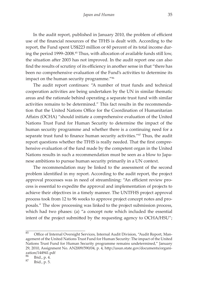In the audit report, published in January 2010, the problem of efficient use of the financial resources of the TFHS is dealt with. According to the report, the Fund spent US\$223 million or 60 percent of its total income during the period 1999–2008.<sup>85</sup> Thus, with allocation of available funds still low, the situation after 2003 has not improved. In the audit report one can also find the results of scrutiny of its efficiency in another sense in that "there has been no comprehensive evaluation of the Fund's activities to determine its impact on the human security programme."<sup>86</sup>

The audit report continues: "A number of trust funds and technical cooperation activities are being undertaken by the UN in similar thematic areas and the rationale behind operating a separate trust fund with similar activities remains to be determined." This fact results in the recommendation that the United Nations Office for the Coordination of Humanitarian Affairs (OCHA) "should initiate a comprehensive evaluation of the United Nations Trust Fund for Human Security to determine the impact of the human security programme and whether there is a continuing need for a separate trust fund to finance human security activities."<sup>87</sup> Thus, the audit report questions whether the TFHS is really needed. That the first comprehensive evaluation of the fund made by the competent organ in the United Nations results in such a recommendation must be seen as a blow to Japanese ambitions to pursue human security primarily in a UN context.

The recommendation may be linked to the assessment of the second problem identified in my report. According to the audit report, the project approval processes was in need of streamlining: "An efficient review process is essential to expedite the approval and implementation of projects to achieve their objectives in a timely manner. The UNTFHS project approval process took from 12 to 96 weeks to approve project concept notes and proposals." The slow processing was linked to the project submission process, which had two phases: (a) "a concept note which included the essential intent of the project submitted by the requesting agency to OCHA/HSU";

<sup>85</sup> Office of Internal Oversight Services, Internal Audit Division, "Audit Report, Management of the United Nations Trust Fund for Human Security: The impact of the United Nations Trust Fund for Human Security programme remains undetermined," January 29, 2010, Assignment No. AN2009/590/04, p. 4, http://usun.state.gov/documents/organization/144941.pdf<br> $^{86}$  Thid p 4

 $\begin{array}{c} 86 \\ 87 \end{array}$  Ibid., p. 4.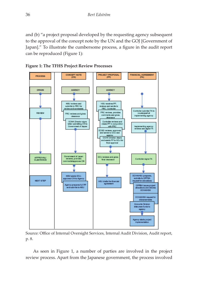and (b) "a project proposal developed by the requesting agency subsequent to the approval of the concept note by the UN and the GOJ [Government of Japan]." To illustrate the cumbersome process, a figure in the audit report can be reproduced (Figure 1):





Source: Office of Internal Oversight Services, Internal Audit Division, Audit report, p. 8.

As seen in Figure 1, a number of parties are involved in the project review process. Apart from the Japanese government, the process involved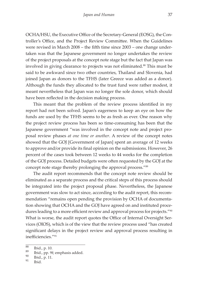OCHA/HSU, the Executive Office of the Secretary-General (EOSG), the Controller's Office, and the Project Review Committee. When the Guidelines were revised in March 2008 – the fifth time since 2003 – one change undertaken was that the Japanese government no longer undertakes the review of the project proposals at the concept note stage but the fact that Japan was involved in giving clearance to projects was not eliminated.<sup>88</sup> This must be said to be awkward since two other countries, Thailand and Slovenia, had joined Japan as donors to the TFHS (later Greece was added as a donor). Although the funds they allocated to the trust fund were rather modest, it meant nevertheless that Japan was no longer the sole donor, which should have been reflected in the decision making process.

This meant that the problem of the review process identified in my report had not been solved. Japan's eagerness to keep an eye on how the funds are used by the TFHS seems to be as fresh as ever. One reason why the project review process has been so time-consuming has been that the Japanese government "was involved in the concept note and project proposal review phases *at one time or another*. A review of the concept notes showed that the GOJ [Government of Japan] spent an average of 12 weeks to approve and/or provide its final opinion on the submissions. However, 26 percent of the cases took between 12 weeks to 44 weeks for the completion of the GOJ process. Detailed budgets were often requested by the GOJ at the concept note stage thereby prolonging the approval process."<sup>89</sup>

The audit report recommends that the concept note review should be eliminated as a separate process and the critical steps of this process should be integrated into the project proposal phase. Nevertheless, the Japanese government was slow to act since, according to the audit report, this recommendation "remains open pending the provision by OCHA of documentation showing that OCHA and the GOJ have agreed on and instituted procedures leading to a more efficient review and approval process for projects."<sup>90</sup> What is worse, the audit report quotes the Office of Internal Oversight Services (OIOS), which is of the view that the review process used "has created significant delays in the project review and approval process resulting in inefficiencies."91

<sup>&</sup>lt;sup>88</sup> Ibid., p. 10.<br>
<sup>89</sup> Ibid., pp. 9f; emphasis added.<br>
<sup>91</sup> Ibid.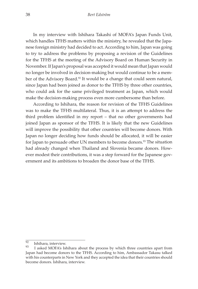In my interview with Ishihara Takashi of MOFA's Japan Funds Unit, which handles TFHS matters within the ministry, he revealed that the Japanese foreign ministry had decided to act. According to him, Japan was going to try to address the problems by proposing a revision of the Guidelines for the TFHS at the meeting of the Advisory Board on Human Security in November. If Japan's proposal was accepted it would mean that Japan would no longer be involved in decision-making but would continue to be a member of the Advisory Board.<sup>92</sup> It would be a change that could seem natural, since Japan had been joined as donor to the TFHS by three other countries, who could ask for the same privileged treatment as Japan, which would make the decision-making process even more cumbersome than before.

According to Ishihara, the reason for revision of the TFHS Guidelines was to make the TFHS multilateral. Thus, it is an attempt to address the third problem identified in my report – that no other governments had joined Japan as sponsor of the TFHS. It is likely that the new Guidelines will improve the possibility that other countries will become donors. With Japan no longer deciding how funds should be allocated, it will be easier for Japan to persuade other UN members to become donors.<sup>93</sup> The situation had already changed when Thailand and Slovenia became donors. However modest their contributions, it was a step forward for the Japanese government and its ambitions to broaden the donor base of the TFHS.

 $\frac{92}{93}$  Ishihara, interview.

I asked MOFA's Ishihara about the process by which three countries apart from Japan had become donors to the TFHS. According to him, Ambassador Takasu talked with his counterparts in New York and they accepted the idea that their countries should become donors. Ishihara, interview.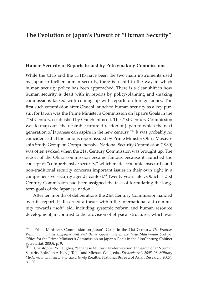## **The Evolution of Japan's Pursuit of "Human Security"**

#### **Human Security in Reports Issued by Policymaking Commissions**

While the CHS and the TFHS have been the two main instruments used by Japan to further human security, there is a shift in the way in which human security policy has been approached. There is a clear shift in how human security is dealt with in reports by policy-planning and -making commissions tasked with coming up with reports on foreign policy. The first such commission after Obuchi launched human security as a key pursuit for Japan was the Prime Minister's Commission on Japan's Goals in the 21st Century, established by Obuchi himself. The 21st Century Commission was to map out "the desirable future direction of Japan to which the next generation of Japanese can aspire in the new century."94 It was probably no coincidence that the famous report issued by Prime Minister Ōhira Masayoshi's Study Group on Comprehensive National Security Commission (1980) was often evoked when the 21st Century Commission was brought up. The report of the Ōhira commission became famous because it launched the concept of "comprehensive security," which made economic insecurity and non-traditional security concerns important issues in their own right in a comprehensive security agenda context.95 Twenty years later, Obuchi's 21st Century Commission had been assigned the task of formulating the longterm goals of the Japanese nation.

After ten months of deliberations the 21st Century Commission handed over its report. It discerned a thrust within the international aid community towards "soft" aid, including systemic reform and human resource development, in contrast to the provision of physical structures, which was

<sup>94</sup> Prime Minister's Commission on Japan's Goals in the 21st Century, *The Frontier Within: Individual Empowerment and Better Governance in the New Millennium* (Tokyo: Office for the Prime Minister's Commission on Japan's Goals in the 21stCentury, Cabinet Secretariat, 2000), p. 9.

<sup>95</sup> Christopher W. Hughes, "Japanese Military Modernization: In Search of a 'Normal' Security Role," in Ashley J. Tellis and Michael Wills, eds., *Strategic Asia 2005–06: Military Modernization in an Era of Uncertainty* (Seattle: National Bureau of Asian Research, 2005), p. 108.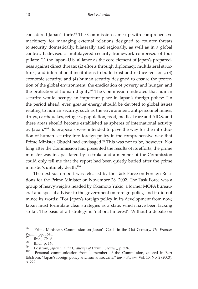considered Japan's forte.<sup>96</sup> The Commission came up with comprehensive machinery for managing external relations designed to counter threats to security domestically, bilaterally and regionally, as well as in a global context. It devised a multilayered security framework comprised of four pillars: (1) the Japan–U.S. alliance as the core element of Japan's preparedness against direct threats; (2) efforts through diplomacy, multilateral structures, and international institutions to build trust and reduce tensions; (3) economic security; and (4) human security designed to ensure the protection of the global environment, the eradication of poverty and hunger, and the protection of human dignity.<sup>97</sup> The Commission indicated that human security would occupy an important place in Japan's foreign policy: "In the period ahead, even greater energy should be devoted to global issues relating to human security, such as the environment, antipersonnel mines, drugs, earthquakes, refugees, population, food, medical care and AIDS, and these areas should become established as spheres of international activity by Japan."98 Its proposals were intended to pave the way for the introduction of human security into foreign policy in the comprehensive way that Prime Minister Obuchi had envisaged.<sup>99</sup> This was not to be, however. Not long after the Commission had presented the results of its efforts, the prime minister was incapacitated by a stroke and a member of the Commission could only tell me that the report had been quietly buried after the prime minister's untimely death.100

The next such report was released by the Task Force on Foreign Relations for the Prime Minister on November 28, 2002. The Task Force was a group of heavyweights headed by Okamoto Yukio, a former MOFA bureaucrat and special advisor to the government on foreign policy, and it did not mince its words: "For Japan's foreign policy in its development from now, Japan must formulate clear strategies as a state, which have been lacking so far. The basis of all strategy is 'national interest'. Without a debate on

<sup>96</sup> Prime Minister's Commission on Japan's Goals in the 21st Century, *The Frontier Within*, pp. 164f.<br><sup>97</sup> Ibid., Ch. 6.<br><sup>98</sup> Phid. n. 160

<sup>&</sup>lt;sup>90</sup> Ibid., p. 160.<br><sup>99</sup> Edström, *Japan and the Challenge of Human Security*, p. 236.<br><sup>100</sup> Personal communication from a member of the Commission, quoted in Bert Edström, "Japan's foreign policy and human security," *Japan Forum,* Vol. 15, No. 2 (2003), p. 222.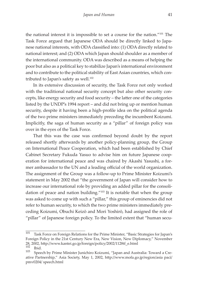the national interest it is impossible to set a course for the nation."101 The Task Force argued that Japanese ODA should be directly linked to Japanese national interests, with ODA classified into: (1) ODA directly related to national interest; and (2) ODA which Japan should shoulder as a member of the international community. ODA was described as a means of helping the poor but also as a political key to stabilize Japan's international environment and to contribute to the political stability of East Asian countries, which contributed to Japan's safety as well. $102$ 

In its extensive discussion of security, the Task Force not only worked with the traditional national security concept but also other security concepts, like energy security and food security – the latter one of the categories listed by the UNDP's 1994 report – and did not bring up or mention human security, despite it having been a high-profile idea on the political agenda of the two prime ministers immediately preceding the incumbent Koizumi. Implicitly, the saga of human security as a "pillar" of foreign policy was over in the eyes of the Task Force.

That this was the case was confirmed beyond doubt by the report released shortly afterwards by another policy-planning group, the Group on International Peace Cooperation, which had been established by Chief Cabinet Secretary Fukuda Yasuo to advise him on future Japanese cooperation for international peace and was chaired by Akashi Yasushi, a former ambassador to the UN and a leading official of the world organization. The assignment of the Group was a follow-up to Prime Minister Koizumi's statement in May 2002 that "the government of Japan will consider how to increase our international role by providing an added pillar for the consolidation of peace and nation building."103 It is notable that when the group was asked to come up with such a "pillar," this group of eminencies did not refer to human security, to which the two prime ministers immediately preceding Koizumi, Obuchi Keizō and Mori Yoshirō, had assigned the role of "pillar" of Japanese foreign policy. To the limited extent that "human secu-

<sup>101</sup> Task Force on Foreign Relations for the Prime Minister, "Basic Strategies for Japan's Foreign Policy in the 21st Century New Era, New Vision, New Diplomacy," November 28, 2002, http://www.kantei.go.jp/foreign/policy/2002/1128tf\_e.html

 $\begin{bmatrix} 102 \\ 103 \end{bmatrix}$  Ibid.

<sup>103</sup> Speech by Prime Minister Junichiro Koizumi, "Japan and Australia: Toward a Creative Partnership," Asia Society, May 1, 2002, http://www.mofa.go.jp/region/asia paci/ pmv0204/ speech.html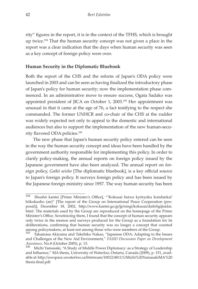rity" figures in the report, it is in the context of the TFHS, which is brought up twice.<sup>104</sup> That the human security concept was not given a place in the report was a clear indication that the days when human security was seen as a key concept of foreign policy were over.

#### **Human Security in the Diplomatic Bluebook**

Both the report of the CHS and the reform of Japan's ODA policy were launched in 2003 and can be seen as having finalized the introductory phase of Japan's policy for human security; now the implementation phase commenced. In an administrative move to ensure success, Ogata Sadako was appointed president of JICA on October 1, 2003.105 Her appointment was unusual in that it came at the age of 76, a fact testifying to the respect she commanded. The former UNHCR and co-chair of the CHS at the rudder was widely expected not only to appeal to the domestic and international audiences but also to support the implementation of the new human-security flavored ODA policies.106

The new phase that Japan's human security policy entered can be seen in the way the human security concept and ideas have been handled by the government authority responsible for implementing this policy. In order to clarify policy-making, the annual reports on foreign policy issued by the Japanese government have also been analyzed. The annual report on foreign policy, *Gaikō seisho* [The diplomatic bluebook], is a key official source to Japan's foreign policy. It surveys foreign policy and has been issued by the Japanese foreign ministry since 1957. The way human security has been

<sup>104</sup> Shushō kantei [Prime Minister's Office], "'Kokusai heiwa kyōryoku kondankai' hōkokusho (an)" [The report of the Group on International Peace Cooperation (proposal)], December 18, 2002, http://www.kantei.go.jp/jp/singi/kokusai/dai6/6gijisidai. html. The materials used by the Group are reproduced on the homepage of the Prime Minister's Office. Scrutinizing them, I found that the concept of human security appears only twice in the memos and surveys produced for the Group as a foundation for its deliberations, confirming that human security was no longer a concept that counted among policymakers, at least not among those who were members of the Group.

Takamasa Akiyama and Takehiko Nakao, "Japanese ODA: Adapting to the Issues and Challenges of the New Aid Environment," *FASID Discussion Paper on Development Assistance,* No.8 (October 2005), p. 13.<br><sup>106</sup> Michi Yamasaki, "A Study of Middle Power Diplomacy: as a Strategy of Leadership

and Influence," MA thesis, University of Waterloo, Ontario, Canada (2009), p. 151, available at: http://uwspace.uwaterloo.ca/bitstream/10012/4811/1/Michi%20YamasakiMA%20 thesis.final.pdf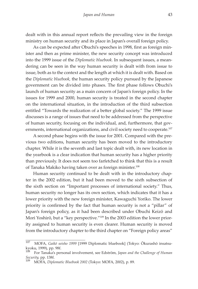dealt with in this annual report reflects the prevailing view in the foreign ministry on human security and its place in Japan's overall foreign policy.

As can be expected after Obuchi's speeches in 1998, first as foreign minister and then as prime minister, the new security concept was introduced into the 1999 issue of the *Diplomatic bluebook.* In subsequent issues, a meandering can be seen in the way human security is dealt with from issue to issue, both as to the context and the length at which it is dealt with. Based on the *Diplomatic bluebook,* the human security policy pursued by the Japanese government can be divided into phases. The first phase follows Obuchi's launch of human security as a main concern of Japan's foreign policy. In the issues for 1999 and 2000, human security is treated in the second chapter on the international situation, in the introduction of the third subsection entitled "Towards the realization of a better global society." The 1999 issue discusses is a range of issues that need to be addressed from the perspective of human security, focusing on the individual, and, furthermore, that governments, international organizations, and civil society need to cooperate.<sup>107</sup>

A second phase begins with the issue for 2001. Compared with the previous two editions, human security has been moved to the introductory chapter. While it is the seventh and last topic dealt with, its new location in the yearbook is a clear indication that human security has a higher priority than previously. It does not seem too farfetched to think that this is a result of Tanaka Makiko having taken over as foreign minister.108

Human security continued to be dealt with in the introductory chapter in the 2002 edition, but it had been moved to the sixth subsection of the sixth section on "Important processes of international society." Thus, human security no longer has its own section, which indicates that it has a lower priority with the new foreign minister, Kawaguchi Yoriko. The lower priority is confirmed by the fact that human security is not a "pillar" of Japan's foreign policy, as it had been described under Obuchi Keizō and Mori Yoshirō, but a "key perspective."109 In the 2003 edition the lower priority assigned to human security is even clearer. Human security is moved from the introductory chapter to the third chapter on "Foreign policy areas"

<sup>107</sup> MOFA, *Gaikō seisho 1999* [1999 Diplomatic bluebook] (Tokyo: Ōkurashō insatsukyoku, 1999), pp. 98f.

<sup>108</sup> For Tanaka's personal involvement, see Edström, *Japan and the Challenge of Human Security,* pp. 138f. <sup>109</sup> MOFA, *Diplomatic Bluebook 2002* (Tokyo: MOFA, 2002), p. 89.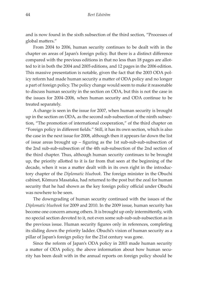and is now found in the sixth subsection of the third section, "Processes of global matters."

From 2004 to 2006, human security continues to be dealt with in the chapter on areas of Japan's foreign policy. But there is a distinct difference compared with the previous editions in that no less than 18 pages are allotted to it in both the 2004 and 2005 editions, and 12 pages in the 2006 edition. This massive presentation is notable, given the fact that the 2003 ODA policy reform had made human security a matter of ODA policy and no longer a part of foreign policy. The policy change would seem to make it reasonable to discuss human security in the section on ODA, but this is not the case in the issues for 2004–2006, when human security and ODA continue to be treated separately.

A change is seen in the issue for 2007, when human security is brought up in the section on ODA, as the second sub-subsection of the ninth subsection, "The promotion of international cooperation," of the third chapter on "Foreign policy in different fields." Still, it has its own section, which is also the case in the next issue for 2008, although then it appears far down the list of issue areas brought up – figuring as the 1st sub-sub-sub-subsection of the 2nd sub-sub-subsection of the 4th sub-subsection of the 2nd section of the third chapter. Thus, although human security continues to be brought up, the priority allotted to it is far from that seen at the beginning of the decade, when it was a matter dealt with in its own right in the introductory chapter of the *Diplomatic bluebook*. The foreign minister in the Obuchi cabinet, Kōmura Masataka, had returned to the post but the zeal for human security that he had shown as the key foreign policy official under Obuchi was nowhere to be seen.

The downgrading of human security continued with the issues of the *Diplomatic bluebook* for 2009 and 2010. In the 2009 issue, human security has become one concern among others. It is brought up only intermittently, with no special section devoted to it, not even some sub-sub-sub-subsection as in the previous issue. Human security figures only in references, completing its sliding down the priority ladder. Obuchi's vision of human security as a pillar of Japan's foreign policy for the 21st century was gone.

Since the reform of Japan's ODA policy in 2003 made human security a matter of ODA policy, the above information about how human security has been dealt with in the annual reports on foreign policy should be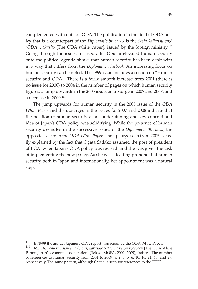complemented with data on ODA. The publication in the field of ODA policy that is a counterpart of the *Diplomatic bluebook* is the *Seifu kaihatsu enjō (ODA) hakusho* [The ODA white paper], issued by the foreign ministry.110 Going through the issues released after Obuchi elevated human security onto the political agenda shows that human security has been dealt with in a way that differs from the *Diplomatic bluebook*. An increasing focus on human security can be noted. The 1999 issue includes a section on "Human security and ODA." There is a fairly smooth increase from 2001 (there is no issue for 2000) to 2004 in the number of pages on which human security figures, a jump upwards in the 2005 issue, an upsurge in 2007 and 2008, and a decrease in 2009.111

The jump upwards for human security in the 2005 issue of the *ODA White Paper* and the upsurges in the issues for 2007 and 2008 indicate that the position of human security as an underpinning and key concept and idea of Japan's ODA policy was solidifying. While the presence of human security dwindles in the successive issues of the *Diplomatic Bluebook*, the opposite is seen in the *ODA White Paper*. The upsurge seen from 2005 is easily explained by the fact that Ogata Sadako assumed the post of president of JICA, when Japan's ODA policy was revised, and she was given the task of implementing the new policy. As she was a leading proponent of human security both in Japan and internationally, her appointment was a natural step.

<sup>110</sup> In 1999 the annual Japanese ODA report was renamed the ODA White Paper. <sup>111</sup> MOFA, *Seifu kaihatsu enjō (ODA) hakusho: Nihon no keizai kyōryoku* [The ODA White

Paper: Japan's economic cooperation] (Tokyo: MOFA, 2001–2009), Indices. The number of references to human security from 2001 to 2009 is: 2, 3, 5, 6, 10, 10, 21, 40, and 27, respectively. The same pattern, although flatter, is seen for references to the TFHS.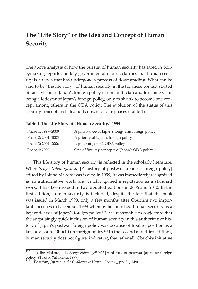## **The "Life Story" of the Idea and Concept of Human Security**

The above analysis of how the pursuit of human security has fared in policymaking reports and key governmental reports clarifies that human security is an idea that has undergone a process of downgrading. What can be said to be "the life story" of human security in the Japanese context started off as a vision of Japan's foreign policy of one politician and for some years being a lodestar of Japan's foreign policy, only to shrink to become one concept among others in the ODA policy. The evolution of the status of this security concept and idea boils down to four phases (Table 1).

#### **Table 1 The Life Story of "Human Security," 1999–**

| Phase 1: 1999–2000 | A pillar-to-be of Japan's long-term foreign policy |
|--------------------|----------------------------------------------------|
| Phase 2: 2001-2003 | A priority of Japan's foreign policy               |
| Phase 3: 2004-2006 | A pillar of Japan's ODA policy                     |
| Phase 4: 2007-     | One of five key concepts of Japan's ODA policy     |

This life story of human security is reflected in the scholarly literature. When *Sengo Nihon gaikōshi* [A history of postwar Japanese foreign policy] edited by Iokibe Makoto was issued in 1999, it was immediately recognized as an authoritative work, and quickly gained a reputation as a standard work. It has been issued in two updated editions in 2006 and 2010. In the first edition, human security is included, despite the fact that the book was issued in March 1999, only a few months after Obuchi's two important speeches in December 1998 whereby he launched human security as a key endeavor of Japan's foreign policy.112 It is reasonable to conjecture that the surprisingly quick inclusion of human security in this authoritative history of Japan's postwar foreign policy was because of Iokibe's position as a key advisor to Obuchi on foreign policy.113 In the second and third editions, human security does not figure, indicating that, after all, Obuchi's initiative

<sup>112</sup> Iokibe Makoto, ed., *Sengo Nihon gaikōshi* [A history of postwar Japanese foreign policy] (Tokyo: Yūhikaku, 1999).

<sup>113</sup> Edström, *Japan and the Challenge of Human Security,* pp. 86, 148f.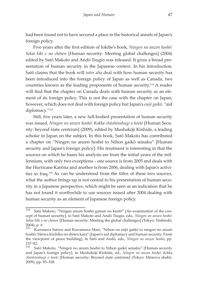had been found not to have secured a place in the historical annals of Japan's foreign policy.

Five years after the first edition of Iokibe's book, *Ningen no anzen hoshō: Sekai kiki e no chōsen* [Human security: Meeting global challenges] (2004) edited by Satō Makoto and Andō Tsugio was released. It gives a broad presentation of human security in the Japanese context. In his introduction, Satō claims that the book will *inter alia* deal with how human security has been introduced into the foreign policy of Japan as well as Canada, two countries known as the leading proponents of human security.114 A reader will find that the chapter on Canada deals with human security as an element of its foreign policy. This is not the case with the chapter on Japan, however, which does not deal with foreign policy but Japan's *enjō gaikō,* "aid diplomacy."115

Still, five years later, a new full-bodied presentation of human security was issued, *Ningen no anzen hoshō: Kokka chūshinshugi o koete* [Human Security: beyond state centrism] (2009), edited by Mushakōji Kinhide, a leading scholar in Japan on the subject. In this book, Satō Makoto has contributed a chapter on "Ningen no anzen hoshō to Nihon gaikō seisaku" [Human security and Japan's foreign policy]. His treatment is interesting in that the sources on which he bases his analysis are from the initial years of the millennium, with only two exceptions – one source is from 2005 and deals with the Hurricane Katrina and another is from 2006, dealing with Japan's activities in Iraq.116 As can be understood from the titles of these two sources, what the author brings up is not central to his presentation of human security in a Japanese perspective, which might be seen as an indication that he has not found it worthwhile to use sources issued after 2004 dealing with human security as an element of Japanese foreign policy.

<sup>114</sup> Satō Makoto, "Ningen anzen hoshō gainen no kentō" [An examination of the concept of human security], in Satō Makoto and Andō Tsugio, eds., *Ningen no anzen hoshō: Sekai kiki e no chōsen* [Human security: Meeting the global challenges] (Tokyo: Tōshindō, 2004), p. 6.

<sup>115</sup> Kurosawa Satoru and Kawamura Mari, "Nihon no enjō gaikō to ningen no anzen hoshō: Heiwa kōchiku no shiten kara" [Japan's aid diplomacy and human security: From the viewpoint of peace building], in Satō and Andō, eds., *Ningen no anzen hoshō*, pp.  $157-82.$ <br> $116\qquad \qquad$  Sa

<sup>116</sup> Satō Makoto, "Ningen no anzen hoshō to Nihon gaikō seisaku" [Human security and Japan's foreign policy], in Mushakōji Kinhide, ed., *Ningen no anzen hoshō: Kokka chūshinshugi o koete* [Human security: Beyond state centrism] (Tokyo: Minerva shobō, 2009), pp. 93–108.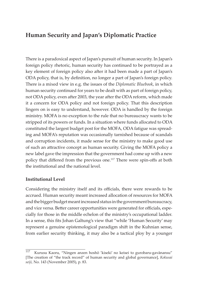## **Human Security and Japan's Diplomatic Practice**

There is a paradoxical aspect of Japan's pursuit of human security. In Japan's foreign policy rhetoric, human security has continued to be portrayed as a key element of foreign policy also after it had been made a part of Japan's ODA policy, that is, by definition, no longer a part of Japan's foreign policy. There is a mixed view in e.g. the issues of the *Diplomatic Bluebook*, in which human security continued for years to be dealt with as part of foreign policy, not ODA policy, even after 2003, the year after the ODA reform, which made it a concern for ODA policy and not foreign policy. That this description lingers on is easy to understand, however. ODA is handled by the foreign ministry. MOFA is no exception to the rule that no bureaucracy wants to be stripped of its powers or funds. In a situation where funds allocated to ODA constituted the largest budget post for the MOFA, ODA fatigue was spreading and MOFA's reputation was occasionally tarnished because of scandals and corruption incidents, it made sense for the ministry to make good use of such an attractive concept as human security. Giving the MOFA policy a new label gave the impression that the government had come up with a new policy that differed from the previous one.117 There were spin-offs at both the institutional and the national level.

#### **Institutional Level**

Considering the ministry itself and its officials, there were rewards to be accrued. Human security meant increased allocation of resources for MOFA and the bigger budget meant increased status in the government bureaucracy, and vice versa. Better career opportunities were generated for officials, especially for those in the middle echelon of the ministry's occupational ladder. In a sense, this fits Johan Galtung's view that "while 'Human Security' may represent a genuine epistemological paradigm shift in the Kuhnian sense, from earlier security thinking, it may also be a tactical ploy by a younger

<sup>117</sup> Kurusu Kaoru, "Ningen anzen hoshō 'kiseki' no keisei to gurobaru-gavānansu" [The creation of "the track record" of human security and global governance], *Kokusai seiji,* No. 143 (November 2005), p. 83.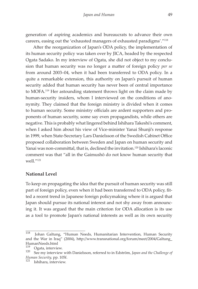generation of aspiring academics and bureaucrats to advance their own careers, easing out the 'exhausted managers of exhausted paradigms'."118

After the reorganization of Japan's ODA policy, the implementation of its human security policy was taken over by JICA, headed by the respected Ogata Sadako. In my interview of Ogata, she did not object to my conclusion that human security was no longer a matter of foreign policy *per se*  from around 2003–04, when it had been transferred to ODA policy. In a quite a remarkable extension, this authority on Japan's pursuit of human security added that human security has never been of central importance to MOFA.119 Her astounding statement throws light on the claim made by human-security insiders, whom I interviewed on the conditions of anonymity. They claimed that the foreign ministry is divided when it comes to human security. Some ministry officials are ardent supporters and proponents of human security, some say even propagandists, while others are negative. This is probably what lingered behind Ishihara Takeshi's comment, when I asked him about his view of Vice-minister Yanai Shunji's response in 1999, when State-Secretary Lars Danielsson of the Swedish Cabinet Office proposed collaboration between Sweden and Japan on human security and Yanai was non-committal, that is, declined the invitation.<sup>120</sup> Ishihara's laconic comment was that "all in the Gaimushō do not know human security that well."<sup>121</sup>

#### **National Level**

To keep on propagating the idea that the pursuit of human security was still part of foreign policy, even when it had been transferred to ODA policy, fitted a recent trend in Japanese foreign policymaking where it is argued that Japan should pursue its national interest and not shy away from announcing it. It was argued that the main criterion for ODA allocation is its use as a tool to promote Japan's national interests as well as its own security

<sup>118</sup> Johan Galtung, "Human Needs, Humanitarian Intervention, Human Security and the War in Iraq" (2004), http://www.transnational.org/forum/meet/2004/Galtung\_ HumanNeeds.html<br><sup>119</sup> Ogata interview

<sup>&</sup>lt;sup>119</sup> Ogata, interview.<br><sup>120</sup> See my interview with Danielsson, referred to in Edström, *Japan and the Challenge of Human Security,* pp. 105f. <sup>121</sup> Ishihara, interview.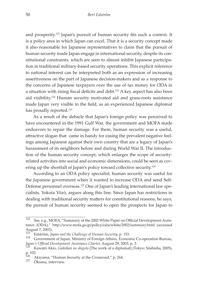and prosperity.<sup>122</sup> Japan's pursuit of human security fits such a context. It is a policy area in which Japan can excel. That it is a security concept made it also reasonable for Japanese representatives to claim that the pursuit of human security made Japan engage in international security, despite its constitutional constraints, which are seen to almost inhibit Japanese participation in traditional military-based security operations. This explicit reference to national interest can be interpreted both as an expression of increasing assertiveness on the part of Japanese decision-makers and as a response to the concerns of Japanese taxpayers over the use of tax money for ODA in a situation with rising fiscal deficits and debt.<sup>123</sup> A key aspect has also been aid visibility.124 Human security motivated aid and grass-roots assistance made Japan very visible in the field, as an experienced Japanese diplomat has proudly reported.<sup>125</sup>

As a result of the debacle that Japan's foreign policy was perceived to have encountered in the 1991 Gulf War, the government and MOFA made endeavors to repair the damage. For them, human security was a useful, attractive slogan that came in handy for easing the prevalent negative feelings among Japanese against their own country that are a legacy of Japan's harassment of its neighbors before and during World War II. The introduction of the human security concept, which enlarges the scope of securityrelated activities into social and economic dimensions, could be seen as covering up the shortfall of Japan's policy toward collective security.126

According to an ODA policy specialist, human security was useful for the Japanese government when it wanted to increase ODA and send Self-Defense personnel overseas.<sup>127</sup> One of Japan's leading international law specialists, Yokota Yōzō, argues along this line. Since Japan has restrictions in dealing with traditional security matters for constitutional reasons, he says, the pursuit of human security seemed to open the prospects for Japan to

 $\frac{122}{2}$  See, e.g., MOFA, "Summary of the 2002 White Paper on Official Development Assistance (ODA)," http://www.mofa.go.jp/policy/oda/white/2002/summary.html (accessed August 7, 2003).<br><sup>123</sup> Edstriga *I*s

<sup>&</sup>lt;sup>123</sup> Edström, *Japan and the Challenge of Human Security*, p. 153.<br><sup>124</sup> Government of Japan, Ministry of Foreign Affairs, Economic Co-operation Bureau, *Japan's Official Development Assistance Charter,* August 29, 2003, p. 3. <sup>125</sup> Kawatō Akio, *Gaikōkan no shigoto* [The work of a diplomat] (Tokyo: Sōshisha, 2005),

 $p. 102.$ 

<sup>&</sup>lt;sup>126</sup> Akiyama, "Human Security at the Crossroad," p. 264.<br><sup>127</sup> Ōkuma, interview.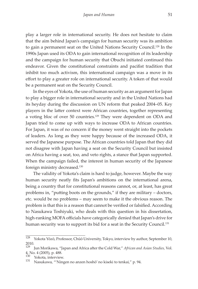play a larger role in international security. He does not hesitate to claim that the aim behind Japan's campaign for human security was its ambition to gain a permanent seat on the United Nations Security Council.128 In the 1990s Japan used its ODA to gain international recognition of its leadership and the campaign for human security that Obuchi initiated continued this endeavor. Given the constitutional constraints and pacifist tradition that inhibit too much activism, this international campaign was a move in its effort to play a greater role on international security. A token of that would be a permanent seat on the Security Council.

In the eyes of Yokota, the use of human security as an argument for Japan to play a bigger role in international security and in the United Nations had its heyday during the discussion on UN reform that peaked 2004–05. Key players in the latter context were African countries, together representing a voting bloc of over 50 countries.<sup>129</sup> They were dependent on ODA and Japan tried to come up with ways to increase ODA to African countries. For Japan, it was of no concern if the money went straight into the pockets of leaders. As long as they were happy because of the increased ODA, it served the Japanese purpose. The African countries told Japan that they did not disagree with Japan having a seat on the Security Council but insisted on Africa having a seat, too, and veto rights, a stance that Japan supported. When the campaign failed, the interest in human security of the Japanese foreign ministry decreased.130

The validity of Yokota's claim is hard to judge, however. Maybe the way human security neatly fits Japan's ambitions on the international arena, being a country that for constitutional reasons cannot, or, at least, has great problems in, "putting boots on the grounds," if they are military – doctors, etc. would be no problems – may seem to make it the obvious reason. The problem is that this is a reason that cannot be verified or falsified. According to Nasukawa Toshiyuki, who deals with this question in his dissertation, high-ranking MOFA officials have categorically denied that Japan's drive for human security was to support its bid for a seat in the Security Council.<sup>131</sup>

<sup>128</sup> Yokota Yōzō, Professor, Chūō University, Tokyo, interview by author, September 10,  $\frac{2010}{129}$ .

<sup>129</sup> Jun Morikawa, "Japan and Africa after the Cold War," *African and Asian Studies,* Vol. 4, No. 4 (2005), p. 488.

 $\frac{130}{131}$  Yokota, interview.

<sup>131</sup> Nasukawa, "'Ningen no anzen hoshō' no kiseki to tenkai," p. 94.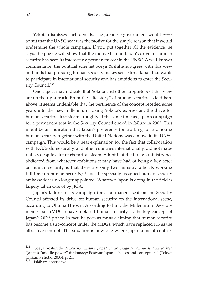Yokota dismisses such denials. The Japanese government would *never* admit that the UNSC seat was the motive for the simple reason that it would undermine the whole campaign. If you put together all the evidence, he says, the puzzle will show that the motive behind Japan's drive for human security has been its interest in a permanent seat in the UNSC. A well-known commentator, the political scientist Soeya Yoshihide, agrees with this view and finds that pursuing human security makes sense for a Japan that wants to participate in international security and has ambitions to enter the Security Council.132

One aspect may indicate that Yokota and other supporters of this view are on the right track. From the "life story" of human security as laid bare above, it seems undeniable that the pertinence of the concept receded some years into the new millennium. Using Yokota's expression, the drive for human security "lost steam" roughly at the same time as Japan's campaign for a permanent seat in the Security Council ended in failure in 2005. This might be an indication that Japan's preference for working for promoting human security together with the United Nations was a move in its UNSC campaign. This would be a neat explanation for the fact that collaboration with NGOs domestically, and other countries internationally, did not materialize, despite a lot of rhetorical steam. A hint that the foreign ministry has abdicated from whatever ambitions it may have had of being a key actor on human security is that there are only two ministry officials working full-time on human security, $133$  and the specially assigned human security ambassador is no longer appointed. Whatever Japan is doing in the field is largely taken care of by JICA.

Japan's failure in its campaign for a permanent seat on the Security Council affected its drive for human security on the international scene, according to Ōkuma Hiroshi. According to him, the Millennium Development Goals (MDGs) have replaced human security as the key concept of Japan's ODA policy. In fact, he goes as far as claiming that human security has become a sub-concept under the MDGs, which have replaced HS as the attractive concept. The situation is now one where Japan aims at contrib-

<sup>132</sup> Soeya Yoshihide, *Nihon no "midoru pawā" gaikō: Sengo Nihon no sentaku to kōsō*  [Japan's "middle power" diplomacy: Postwar Japan's choices and conceptions] (Tokyo: Chikuma shobō, 2005), p. 211.

<sup>133</sup> Ishihara, interview.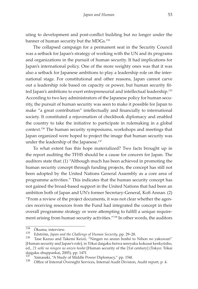uting to development and post-conflict building but no longer under the banner of human security but the MDGs.<sup>134</sup>

The collapsed campaign for a permanent seat in the Security Council was a setback for Japan's strategy of working with the UN and its programs and organizations in the pursuit of human security. It had implications for Japan's international policy. One of the more weighty ones was that it was also a setback for Japanese ambitions to play a leadership role on the international stage. For constitutional and other reasons, Japan cannot carve out a leadership role based on capacity or power, but human security fitted Japan's ambitions to exert entrepreneurial and intellectual leadership.135 According to two key administrators of the Japanese policy for human security, the pursuit of human security was seen to make it possible for Japan to make "a great contribution" intellectually and financially to international society. It constituted a rejuvenation of checkbook diplomacy and enabled the country to take the initiative to participate in rulemaking in a global context.136 The human security symposiums, workshops and meetings that Japan organized were hoped to project the image that human security was under the leadership of the Japanese.<sup>137</sup>

To what extent has this hope materialized? Two facts brought up in the report auditing the TFHS should be a cause for concern for Japan. The auditors state that: (1) "Although much has been achieved in promoting the human security concept through funding projects, the concept has still not been adopted by the United Nations General Assembly as a core area of programme activities." This indicates that the human security concept has not gained the broad-based support in the United Nations that had been an ambition both of Japan and UN's former Secretary-General, Kofi Annan. (2) "From a review of the project documents, it was not clear whether the agencies receiving resources from the Fund had integrated the concept in their overall programme strategy or were attempting to fulfill a unique requirement arising from human security activities."138 In other words, the auditors

 $\frac{134}{135}$  Ōkuma, interview.

<sup>&</sup>lt;sup>135</sup> Edström, *Japan and the Challenge of Human Security*, pp. 29–28.<br><sup>136</sup> Tase Kazuo and Takemi Keizō, "Ningen no anzen hoshō to Nihon no yakuwari" [Human security and Japan's role], in Tōkai daigaku heiwa senryaku kokusai kenkyūsho, ed., *21 seiki no ningen no anzen hoshō* [Human security of the 21st century] (Tokyo: Tōkai daigaku shuppankai, 2005), pp. 147f.

<sup>&</sup>lt;sup>137</sup> Yamasaki, "A Study of Middle Power Diplomacy," pp. 154f.<br><sup>138</sup> Office of Internal Oversight Services, Internal Audit Division, Audit report, p. 4.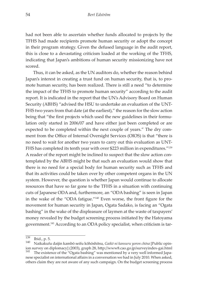had not been able to ascertain whether funds allocated to projects by the TFHS had made recipients promote human security or adopt the concept in their program strategy. Given the defused language in the audit report, this is close to a devastating criticism loaded at the working of the TFHS, indicating that Japan's ambitions of human security missionizing have not scored.

Thus, it can be asked, as the UN auditors do, whether the reason behind Japan's interest in creating a trust fund on human security, that is, to promote human security, has been realized. There is still a need "to determine the impact of the TFHS to promote human security" according to the audit report. It is indicated in the report that the UN's Advisory Board on Human Security (ABHS) "advised the HSU to undertake an evaluation of the UNT-FHS two years from that date (at the earliest)," the reason for the slow action being that "the first projects which used the new guidelines in their formulation only started in 2006/07 and have either just been completed or are expected to be completed within the next couple of years." The dry comment from the Office of Internal Oversight Services (OIOS) is that "there is no need to wait for another two years to carry out this evaluation as UNT-FHS has completed its tenth year with over \$223 million in expenditures."<sup>139</sup> A reader of the report might be inclined to suspect that the slow action contemplated by the ABHS might be that such an evaluation would show that there is no need for a special body for human security such as TFHS and that its activities could be taken over by other competent organs in the UN system. However, the question is whether Japan would continue to allocate resources that have so far gone to the TFHS in a situation with continuing cuts of Japanese ODA and, furthermore, an "ODA bashing" is seen in Japan in the wake of the "ODA fatigue."140 Even worse, the front figure for the movement for human security in Japan, Ogata Sadako, is facing an "Ogata bashing" in the wake of the displeasure of laymen at the waste of taxpayers' money revealed by the budget screening process initiated by the Hatoyama government.141 According to an ODA policy specialist, when criticism is tar-

<sup>139</sup> Ibid., p. 5. <sup>140</sup> Naikakufu daijin kambō seifu kōhōshitsu, *Gaikō ni kansuru yoron chōsa* [Public opinion survey on diplomacy] (2003), graph 28, http://www8.cao.go.jp/surveyindex-gai.html  $^{141}$  The existence of the "Ogata bashing" was mentioned by a very well informed Japa-

The existence of the "Ogata bashing" was mentioned by a very well informed Japanese specialist on international affairs in a conversation we had in July 2010. When asked, others claim they are not aware of any such campaign. On the budget screening process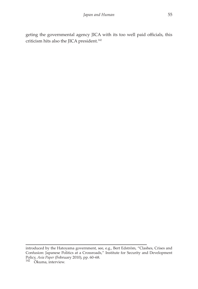geting the governmental agency JICA with its too well paid officials, this criticism hits also the JICA president.<sup>142</sup>

introduced by the Hatoyama government, see, e.g., Bert Edström, "Clashes, Crises and Confusion: Japanese Politics at a Crossroads," Institute for Security and Development Policy, *Asia Paper* (February 2010), pp. 60–68. <sup>142</sup> Ōkuma, interview.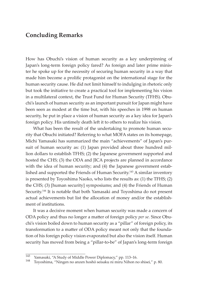## **Concluding Remarks**

How has Obuchi's vision of human security as a key underpinning of Japan's long-term foreign policy fared? As foreign and later prime minister he spoke up for the necessity of securing human security in a way that made him become a prolific protagonist on the international stage for the human security cause. He did not limit himself to indulging in rhetoric only but took the initiative to create a practical tool for implementing his vision in a multilateral context, the Trust Fund for Human Security (TFHS). Obuchi's launch of human security as an important pursuit for Japan might have been seen as modest at the time but, with his speeches in 1998 on human security, he put in place a vision of human security as a key idea for Japan's foreign policy. His untimely death left it to others to realize his vision.

What has been the result of the undertaking to promote human security that Obuchi initiated? Referring to what MOFA states on its homepage, Michi Yamasaki has summarized the main "achievements" of Japan's pursuit of human security as: (1) Japan provided about three hundred million dollars to establish TFHS; (2) the Japanese government supported and hosted the CHS; (3) the ODA and JICA projects are planned in accordance with the idea of human security; and (4) the Japanese government established and supported the Friends of Human Security.<sup>143</sup> A similar inventory is presented by Toyoshima Naoko, who lists the results as: (1) the TFHS; (2) the CHS; (3) [human security] symposiums; and (4) the Friends of Human Security.144 It is notable that both Yamasaki and Toyoshima do not present actual achievements but list the allocation of money and/or the establishment of institutions.

It was a decisive moment when human security was made a concern of ODA policy and thus no longer a matter of foreign policy *per se.* Since Obuchi's vision boiled down to human security as a "pillar" of foreign policy, its transformation to a matter of ODA policy meant not only that the foundation of his foreign policy vision evaporated but also the vision itself. Human security has moved from being a "pillar-to-be" of Japan's long-term foreign

<sup>143</sup> Yamasaki, "A Study of Middle Power Diplomacy," pp. 113–16. <sup>144</sup> Toyoshima, "Ningen no anzen hoshō seisaku ni miru Nihon no shisei," p. 80.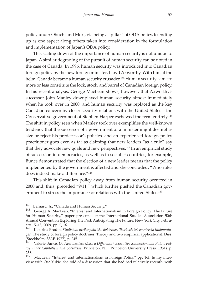policy under Obuchi and Mori, via being a "pillar" of ODA policy, to ending up as one aspect along others taken into consideration in the formulation and implementation of Japan's ODA policy.

This scaling down of the importance of human security is not unique to Japan. A similar degrading of the pursuit of human security can be noted in the case of Canada. In 1996, human security was introduced into Canadian foreign policy by the new foreign minister, Lloyd Axworthy. With him at the helm, Canada became a human security crusader.<sup>145</sup> Human security came to more or less constitute the lock, stock, and barrel of Canadian foreign policy. In his recent analysis, George MacLean shows, however, that Axworthy's successor John Manley downplayed human security almost immediately when he took over in 2000, and human security was replaced as the key Canadian concern by closer security relations with the United States – the Conservative government of Stephen Harper eschewed the term entirely.<sup>146</sup> The shift in policy seen when Manley took over exemplifies the well-known tendency that the successor of a government or a minister might deemphasize or reject his predecessor's policies, and an experienced foreign policy practitioner goes even as far as claiming that new leaders "as a rule" say that they advocate new goals and new perspectives.<sup>147</sup> In an empirical study of succession in democracies, as well as in socialist countries, for example, Bunce demonstrated that the election of a new leader means that the policy implemented by the government is affected and she concluded, "Who rules does indeed make a difference."148

This shift in Canadian policy away from human security occurred in 2000 and, thus, preceded "9/11," which further pushed the Canadian government to stress the importance of relations with the United States.<sup>149</sup>

<sup>145</sup> Bernard, Jr., "Canada and Human Security." <sup>146</sup> George A. MacLean, "Interest and Internationalism in Foreign Policy: The Future for Human Security," paper presented at the International Studies Association 50th Annual Convention Exploring The Past, Anticipating The Future, New York City, February 15–18, 2009, pp. 2, 16.<br><sup>147</sup> Katarina Brodin, *Stu* 

<sup>147</sup> Katarina Brodin, *Studiet av utrikespolitiska doktriner: Teori och två empiriska tillämpningar* [The study of foreign policy doctrines: Theory and two empirical applications]. Diss. (Stockholm: SSLP, 1977), p. 245.

<sup>148</sup> Valerie Bunce, *Do New Leaders Make a Difference? Executive Succession and Public Policy under Capitalism and Socialism* (Princeton, N.J.: Princeton University Press, 1981), p. 256.<br>149

MacLean, "Interest and Internationalism in Foreign Policy," pp. 16f. In my interview with Osa Yukie, she told of a discussion that she had had relatively recently with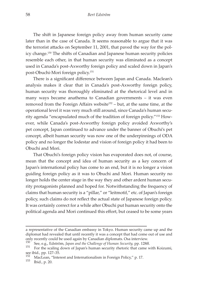The shift in Japanese foreign policy away from human security came later than in the case of Canada. It seems reasonable to argue that it was the terrorist attacks on September 11, 2001, that paved the way for the policy change.150 The shifts of Canadian and Japanese human security policies resemble each other, in that human security was eliminated as a concept used in Canada's post-Axworthy foreign policy and scaled down in Japan's post-Obuchi-Mori foreign policy.151

There is a significant difference between Japan and Canada. Maclean's analysis makes it clear that in Canada's post-Axworthy foreign policy, human security was thoroughly eliminated at the rhetorical level and in many ways became anathema to Canadian governments – it was even removed from the Foreign Affairs website<sup>152</sup> – but, at the same time, at the operational level it was very much still around, since Canada's human security agenda "encapsulated much of the tradition of foreign policy."153 However, while Canada's post-Axworthy foreign policy avoided Axworthy's pet concept, Japan continued to advance under the banner of Obuchi's pet concept, albeit human security was now one of the underpinnings of ODA policy and no longer the lodestar and vision of foreign policy it had been to Obuchi and Mori.

That Obuchi's foreign policy vision has evaporated does not, of course, mean that the concept and idea of human security as a key concern of Japan's international policy has come to an end, but it is no longer a vision guiding foreign policy as it was to Obuchi and Mori. Human security no longer holds the center stage in the way they and other ardent human security protagonists planned and hoped for. Notwithstanding the frequency of claims that human security is a "pillar," or "leitmotif," etc. of Japan's foreign policy, such claims do not reflect the actual state of Japanese foreign policy. It was certainly correct for a while after Obuchi put human security onto the political agenda and Mori continued this effort, but ceased to be some years

a representative of the Canadian embassy in Tokyo. Human security came up and the diplomat had revealed that until recently it was a concept that had come out of use and only recently could be used again by Canadian diplomats. Osa interview.<br><sup>150</sup> See, e.g., Edström, Japan and the Challenge of Human Security, pp. 128ff.<br><sup>151</sup> For the scaling down of Japan's human security rhetoric that cam

see ibid., pp. 127–35.<br><sup>152</sup> MacLean, "Interest and Internationalism in Foreign Policy," p. 17.<br><sup>153</sup> Ibid., p. 20.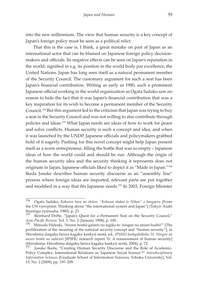into the new millennium. The view that human security is a key concept of Japan's foreign policy must be seen as a political relict.

That this is the case is, I think, a great mistake on part of Japan as an international actor that can be blamed on Japanese foreign policy decisionmakers and officials. Its negative effects can be seen on Japan's reputation in the world, signified in e.g. its position in the world body par excellence, the United Nations. Japan has long seen itself as a natural permanent member of the Security Council. The customary argument for such a seat has been Japan's financial contribution. Writing as early as 1980, such a prominent Japanese official working in the world organization as Ogata Sadako saw no reason to hide the fact that it was Japan's financial contribution that was a key inspiration for its wish to become a permanent member of the Security Council.154 But this argument led to the criticism that Japan was trying to buy a seat in the Security Council and was not willing to also contribute through policies and ideas.155 What Japan needs are ideas of how to work for peace and solve conflicts. Human security is such a concept and idea, and when it was launched by the UNDP, Japanese officials and policymakers grabbed hold of it eagerly. Pushing for this novel concept might help Japan present itself as a norm entrepreneur, filling the bottle that was so empty – Japanese ideas of how the world could and should be run. Although the origin of the human security idea and the security thinking it represents does not originate in Japan, Japanese officials liked to depict it as "Made in Japan."156 Ikeda Josuke describes human security discourse as an "assembly line" process where foreign ideas are imported, relevant parts are put together and modified in a way that fits Japanese needs.157 In 2003, Foreign Minister

<sup>154</sup> Ogata Sadako, *Kokuren kara no shiten: "Kokusai shakai to Nihon" o kangaeru* [From the UN viewpoint: Thinking about "the international system and Japan"] (Tokyo: Asahi ibuningu nyūsusha, 1980), p. 23.

Reinhard Drifte, "Japan's Quest for a Permanent Seat on the Security Council," *Asia–Pacific Review,* Vol. 5, No. 2 (January 1998), p. 100.<br><sup>156</sup> Shinoda Hideaki, "Anzen hoshō gainen no tagika to 'ningen no anzen hoshō'" [The

proliferation of the meaning of the national security concept and "human security"], in Hiroshima daigaku heiwa kagaku kenkyū sentā, ed., *IPSHU kenkyūhōkoku 31: Ningen no anzen hoshō no saikentō* [IPSHU research report 31: A reassessment of human security] (Hiroshima: Hiroshima daigaku heiwa kagaku kenkyū sentā, 2004), p. 72.

Josuke Ikeda, "Creating Human Security Discourse and the Role of Academic-Policy Complex: International Relations as 'Japanese Social Science'?" *Interdisciplinary Information Sciences* [Graduate School of Information Sciences, Tohoku University], Vol. 15, No. 2 (2009), pp. 197–209.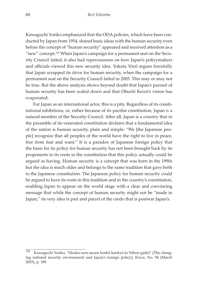Kawaguchi Yoriko emphasized that the ODA policies, which have been conducted by Japan from 1954, shared basic ideas with the human security even before the concept of "human security" appeared and received attention as a "new" concept.<sup>158</sup> When Japan's campaign for a permanent seat on the Security Council failed, it also had repercussions on how Japan's policymakers and officials viewed this new security idea. Yokota Yōzō argues forcefully that Japan scrapped its drive for human security, when the campaign for a permanent seat on the Security Council failed in 2005. This may or may not be true. But the above analysis shows beyond doubt that Japan's pursuit of human security has been scaled down and that Obuchi Keizō's vision has evaporated.

For Japan as an international actor, this is a pity. Regardless of its constitutional inhibitions, or, rather because of its pacifist constitution, Japan *is* a natural member of the Security Council. After all, Japan is a country that in the preamble of its venerated constitution declares that a fundamental idea of the nation is human security, plain and simple: "We [the Japanese people] recognize that all peoples of the world have the right to live in peace, free from fear and want." It is a paradox of Japanese foreign policy that the basis for its policy for human security has not been brought back by its proponents to its roots in the constitution that this policy actually could be argued as having. Human security is a concept that was born in the 1990s but the idea is much older and belongs to the same tradition that gave birth to the Japanese constitution. The Japanese policy for human security could be argued to have its roots in this tradition and in the country's constitution, enabling Japan to appear on the world stage with a clear and convincing message that while the concept of human security might not be "made in Japan," its very idea is part and parcel of the credo that is postwar Japan's.

<sup>158</sup> Kawaguchi Yoriko, "Henka suru anzen hoshō kankyō to Nihon gaikō" [The changing national security environment and Japan's foreign policy], *Ronza,* No. 94 (March 2003), p. 189.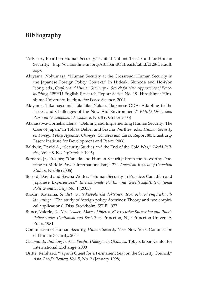## **Bibliography**

- "Advisory Board on Human Security," United Nations Trust Fund for Human Security, http://ochaonline.un.org/ABHSandOutreach/tabid/2128/Default. aspx
- Akiyama, Nobumasa, "Human Security at the Crossroad: Human Security in the Japanese Foreign Policy Context." In Hideaki Shinoda and Ho-Won Jeong, eds., *Conflict and Human Security: A Search for New Approaches of Peacebuilding,* IPSHU English Research Report Series No. 19. Hiroshima: Hiroshima University, Institute for Peace Science, 2004
- Akiyama, Takamasa and Takehiko Nakao, "Japanese ODA: Adapting to the Issues and Challenges of the New Aid Environment," *FASID Discussion Paper on Development Assistance,* No. 8 (October 2005)
- Atanassova-Cornelis, Elena, "Defining and Implementing Human Security: The Case of Japan."In Tobias Debiel and Sascha Werthes, eds., *Human Security on Foreign Policy Agendas. Changes, Concepts and Cases,* Report 80. Duisburg-Essen: Institute for Development and Peace, 2006
- Baldwin, David A., "Security Studies and the End of the Cold War," *World Politics,* Vol. 48, No. 1 (October 1995)
- Bernard, Jr., Prosper, "Canada and Human Security: From the Axworthy Doctrine to Middle Power Internationalism," *The American Review of Canadian Studies,* No. 36 (2006)
- Bosold, David and Sascha Wertes, "Human Security in Practice: Canadian and Japanese Experiences," *Internationale Politik und Gesellschaft/International Politics and Society,* No. 1 (2005)
- Brodin, Katarina, *Studiet av utrikespolitiska doktriner: Teori och två empiriska tillämpningar* [The study of foreign policy doctrines: Theory and two empirical applications]. Diss. Stockholm: SSLP, 1977
- Bunce, Valerie, *Do New Leaders Make a Difference? Executive Succession and Public Policy under Capitalism and Socialism,* Princeton, N.J.: Princeton University Press, 1981
- Commission of Human Security, *Human Security Now.* New York: Commission of Human Security, 2003
- *Community Building in Asia Pacific: Dialogue in Okinawa.* Tokyo: Japan Center for International Exchange, 2000
- Drifte, Reinhard, "Japan's Quest for a Permanent Seat on the Security Council," *Asia–Pacific Review,* Vol. 5, No. 2 (January 1998)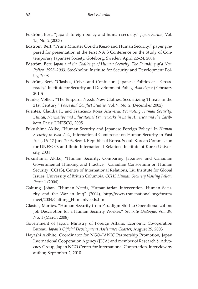- Edström, Bert, "Japan's foreign policy and human security," *Japan Forum,* Vol. 15, No. 2 (2003)
- Edström, Bert, "Prime Minister Obuchi Keizō and Human Security," paper prepared for presentation at the First NAJS Conference on the Study of Contemporary Japanese Society, Göteborg, Sweden, April 22–24, 2004
- Edström, Bert, *Japan and the Challenge of Human Security: The Founding of a New Policy, 1995–2003*. Stockholm: Institute for Security and Development Policy, 2008
- Edström, Bert, "Clashes, Crises and Confusion: Japanese Politics at a Crossroads," Institute for Security and Development Policy, *Asia Paper* (February 2010)
- Franke, Volker, "The Emperor Needs New Clothes: Securitizing Threats in the 21st Century," *Peace and Conflict Studies,* Vol. 9, No. 2 (December 2002)
- Fuentes, Claudia F., and Francisco Rojas Aravena, *Promoting Human Security: Ethical, Normative and Educational Frameworks in Latin America and the Caribbean.* Paris: UNESCO, 2005
- Fukushima Akiko, "Human Security and Japanese Foreign Policy." In *Human Security in East Asia,* International Conference on Human Security in East Asia, 16–17 June 2003, Seoul, Republic of Korea. Seoul: Korean Commission for UNESCO, and Ilmin International Relations Institute of Korea University, 2004
- Fukushima, Akiko, "Human Security: Comparing Japanese and Canadian Governmental Thinking and Practice," Canadian Consortium on Human Security (CCHS), Centre of International Relations, Liu Institute for Global Issues, University of British Columbia, *CCHS Human Security Visiting Fellow Paper* 1 (2004)
- Galtung, Johan, "Human Needs, Humanitarian Intervention, Human Security and the War in Iraq" (2004), http://www.transnational.org/forum/ meet/2004/Galtung\_HumanNeeds.htm
- Glasius, Marlies, "Human Security from Paradigm Shift to Operationalization: Job Description for a Human Security Worker," *Security Dialogue*, Vol. 39, No. 1 (March 2008)
- Government of Japan, Ministry of Foreign Affairs, Economic Co-operation Bureau, *Japan's Official Development Assistance Charter,* August 29, 2003
- Hayashi Akihito, Coordinator for NGO–JANIC Partnership Promotion, Japan International Cooperation Agency (JICA) and member of Research & Advocacy Group, Japan NGO Center for International Cooperation, interview by author, September 2, 2010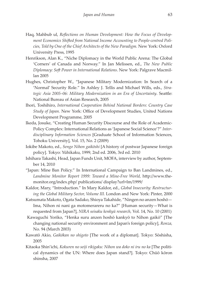- Haq, Mahbub ul, *Reflections on Human Development: How the Focus of Development Economics Shifted from National Income Accounting to People-centred Policies, Told by One of the Chief Architects of the New Paradigm.* New York: Oxford University Press, 1995
- Henrikson, Alan K., "Niche Diplomacy in the World Public Arena: The Global 'Corners' of Canada and Norway." In Jan Melissen, ed., *The New Public Diplomacy: Soft Power in International Relations*. New York: Palgrave Macmillan 2005
- Hughes, Christopher W., "Japanese Military Modernization: In Search of a 'Normal' Security Role." In Ashley J. Tellis and Michael Wills, eds., *Strategic Asia 2005–06: Military Modernization in an Era of Uncertainty*. Seattle: National Bureau of Asian Research, 2005
- Ihori, Toshihiro, *International Cooperation Behind National Borders: Country Case Study of Japan.* New York: Office of Development Studies, United Nations Development Programme, 2005
- Ikeda, Josuke, "Creating Human Security Discourse and the Role of Academic-Policy Complex: International Relations as 'Japanese Social Science'?" *Interdisciplinary Information Sciences* [Graduate School of Information Sciences, Tohoku University], Vol. 15, No. 2 (2009)
- Iokibe Makoto, ed., *Sengo Nihon gaikōshi* [A history of postwar Japanese foreign policy]. Tokyo: Yūhikaku, 1999, 2nd ed. 2006, 3rd ed. 2010
- Ishihara Takashi, Head, Japan Funds Unit, MOFA, interview by author, September 14, 2010
- "Japan: Mine Ban Policy." In International Campaign to Ban Landmines, ed., *Landmine Monitor Report 1999: Toward a Mine-Free World,* http://www.themonitor.org/index.php/ publications/ display?url=lm/1999/
- Kaldor, Mary, "Introduction." In Mary Kaldor, ed., *Global Insecurity: Restructuring the Global Military Sector, Volume III.* London and New York: Pinter, 2000
- Katsumata Makoto, Ogata Sadako, Shioya Takahide, "Ningen no anzen hoshō— Ima, Nihon ni nani ga motomerareru no ka?" [Human security—What is requested from Japan?], *NIRA seisaku kenkyū research,* Vol. 14, No. 10 (2001)
- Kawaguchi Yoriko, "Henka suru anzen hoshō kankyō to Nihon gaikō" [The changing national security environment and Japan's foreign policy], *Ronza,* No. 94 (March 2003)
- Kawatō Akio, *Gaikōkan no shigoto* [The work of a diplomat]. Tokyo: Sōshisha, 2005
- Kitaoka Shin'ichi, *Kokuren no seiji rikigaku: Nihon wa doko ni iru no ka* [The political dynamics of the UN: Where does Japan stand?]. Tokyo: Chūō kōron shinsha, 2007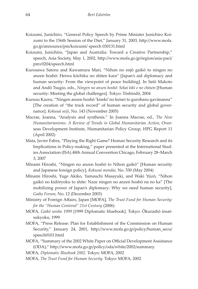- Koizumi, Junichiro, "General Policy Speech by Prime Minister Junichiro Koizumi to the 156th Session of the Diet," January 31, 2003, http://www.mofa. go.jp/announce/pm/koizumi/ speech 030131.html
- Koizumi, Junichiro, "Japan and Australia: Toward a Creative Partnership," speech, Asia Society, May 1, 2002, http://www.mofa.go.jp/region/asia-paci/ pmv0204/speech.html
- Kurosawa Satoru and Kawamura Mari, "Nihon no enjō gaikō to ningen no anzen hoshō: Heiwa kōchiku no shiten kara" [Japan's aid diplomacy and human security: From the viewpoint of peace building]. In Satō Makoto and Andō Tsugio, eds., *Ningen no anzen hoshō: Sekai kiki e no chōsen* [Human security: Meeting the global challenges]. Tokyo: Tōshindō, 2004
- Kurusu Kaoru, "Ningen anzen hoshō 'kiseki' no keisei to gurobaru-gavānansu" [The creation of "the track record" of human security and global governance], *Kokusai seiji*, No. 143 (November 2005)
- Macrae, Joanna, "Analysis and synthesis." In Joanna Macrae, ed., *The New Humanitarianisms: A Review of Trends in Global Humanitarian Action*, Overseas Development Institute, Humanitarian Policy Group, HPG Report 11 (April 2002)
- Mata, Javier Fabra, "Playing the Right Game? Human Security Research and its Implications in Policy-making," paper presented at the International Studies Association (ISA) 48th Annual Convention Chicago, February 28–March 3, 2007
- Minami Hiroshi, "Ningen no anzen hoshō to Nihon gaikō" [Human security and Japanese foreign policy], *Kokusai mondai,* No. 530 (May 2004)
- Minami Hiroshi, Yuge Akiko, Yamauchi Masayuki, and Waki Yūzō, "Nihon gaikō no kidōryoku to shite: Naze ningen no anzen hoshō na no ka" [The mobilizing power of Japan's diplomacy: Why we need human security], *Gaiko Forum,* No. 12 (December 2003)
- Ministry of Foreign Affairs, Japan [MOFA], *The Trust Fund for Human Security: for the "Human Centered" 21st Century* (2006)
- MOFA, *Gaikō seisho 1999* [1999 Diplomatic bluebook]. Tokyo: Ōkurashō insatsukyoku, 1999
- MOFA, "Press Release: Plan for Establishment of the Commission on Human Security," January 24, 2001, http://www.mofa.go.jp/policy/human\_secu/ speech0101.html
- MOFA, "Summary of the 2002 White Paper on Official Development Assistance (ODA)," http://www.mofa.go.jp/policy/oda/white/2002/summary.
- MOFA, *Diplomatic Bluebook 2002*. Tokyo: MOFA, 2002
- MOFA, *The Trust Fund for Human Security.* Tokyo: MOFA, 2002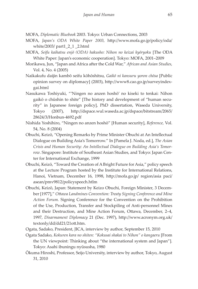MOFA, *Diplomatic Bluebook* 2003. Tokyo: Urban Connections, 2003

- MOFA, *Japan's ODA White Paper 2003,* http://www.mofa.go.jp/policy/oda/ white/2003/ part1\_2\_1 \_2.html
- MOFA, *Seifu kaihatsu enjō (ODA) hakusho: Nihon no keizai kyōryoku* [The ODA White Paper: Japan's economic cooperation]. Tokyo: MOFA, 2001–2009
- Morikawa, Jun, "Japan and Africa after the Cold War," *African and Asian Studies,* Vol. 4, No. 4 (2005)
- Naikakufu daijin kambō seifu kōhōshitsu, *Gaikō ni kansuru yoron chōsa* [Public opinion survey on diplomacy] (2003), http://www8.cao.go.jp/surveyindexgai.html
- Nasukawa Toshiyuki, "'Ningen no anzen hoshō' no kiseki to tenkai: Nihon gaikō o chūshin to shite" [The history and development of "human security" in Japanese foreign policy], PhD dissertation, Waseda University, Tokyo (2007), http://dspace.wul.waseda.ac.jp/dspace/bitstream/2065/ 28624/3/Honbun-4692.pdf
- Nishida Yoshihiro, "Ningen no anzen hoshō" [Human security], *Reference,* Vol. 54, No. 8 (2004)
- Obuchi, Keizō, "Opening Remarks by Prime Minister Obuchi at An Intellectual Dialogue on Building Asia's Tomorrow." In [Pamela J. Noda, ed.], *The Asian Crisis and Human Security: An Intellectual Dialogue on Building Asia's Tomorrow*. Singapore: Institute of Southeast Asian Studies, and Tokyo: Japan Center for International Exchange, 1999
- Obuchi, Keizō, "Toward the Creation of A Bright Future for Asia," policy speech at the Lecture Program hosted by the Institute for International Relations, Hanoi, Vietnam, December 16, 1998, http://mofa.go.jp/ region/asia paci/ asean/pmv9812/policyspeech.htlm
- Obuchi, Keizō, Japan: Statement by Keizo Obuchi, Foreign Minister, 3 December [1977]," *Ottawa Landmines Convention: Treaty Signing Conference and Mine Action Forum.* Signing Conference for the Convention on the Prohibition of the Use, Production, Transfer and Stockpiling of Anti-personnel Mines and their Destruction, and Mine Action Forum, Ottawa, December, 2–4, 1997, *Disarmament Diplomacy* 21 (Dec. 1997), http://www.acronym.org.uk/ textonly/dd/dd21/21ott.htm.
- Ogata, Sadako, President, JICA, interview by author, September 15, 2010
- Ogata Sadako, *Kokuren kara no shiten: "Kokusai shakai to Nihon" o kangaeru* [From the UN viewpoint: Thinking about "the international system and Japan"]*.*  Tokyo: Asahi ibuningu nyūsusha, 1980
- Ōkuma Hiroshi, Professor, Seijo University, interview by author, Tokyo, August 31, 2010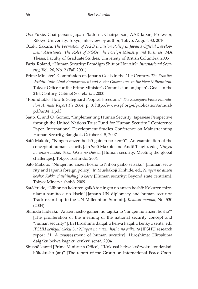- Osa Yukie, Chairperson, Japan Platform, Chairperson, AAR Japan, Professor, Rikkyo University, Tokyo, interview by author, Tokyo, August 30, 2010
- Ozaki, Sakura, *The Formation of NGO Inclusion Policy in Japan's Official Development Assistance: The Roles of NGOs, the Foreign Ministry and Business.* MA Thesis, Faculty of Graduate Studies, University of British Columbia, 2005
- Paris, Roland, "Human Security: Paradigm Shift or Hot Air?" *International Security,* Vol. 26, No. 2 (Fall 2001)
- Prime Minister's Commission on Japan's Goals in the 21st Century, *The Frontier Within: Individual Empowerment and Better Governance in the New Millennium.*  Tokyo: Office for the Prime Minister's Commission on Japan's Goals in the 21st Century, Cabinet Secretariat, 2000
- "Roundtable: How to Safeguard People's Freedom," *The Sasagawa Peace Foundation Annual Report FY 2004,* p. 8, http://www.spf.org/e/publication/annual/ pdf/ar04\_1.pdf
- Saito, C. and O. Gomez, "Implementing Human Security: Japanese Perspective through the United Nations Trust Fund for Human Security," Conference Paper, International Development Studies Conference on Mainstreaming Human Security, Bangkok, October 4–5, 2007
- Satō Makoto, "Ningen anzen hoshō gainen no kentō" [An examination of the concept of human security]. In Satō Makoto and Andō Tsugio, eds., *Ningen no anzen hoshō: Sekai kiki e no chōsen* [Human security: Meeting the global challenges]. Tokyo: Tōshindō, 2004
- Satō Makoto, "Ningen no anzen hoshō to Nihon gaikō seisaku" [Human security and Japan's foreign policy]. In Mushakōji Kinhide, ed., *Ningen no anzen hoshō: Kokka chūshinshugi o koete* [Human security: Beyond state centrism]. Tokyo: Minerva shobō, 2009
- Satō Yukio, "Nihon no kokuren gaikō to ningen no anzen hoshō: Kokuren mireniamu samitto e no kiseki' [Japan's UN diplomacy and human security: Track record up to the UN Millennium Summit], *Kokusai mondai,* No. 530 (2004)
- Shinoda Hideaki, "Anzen hoshō gainen no tagika to 'ningen no anzen hoshō'" [The proliferation of the meaning of the national security concept and "human security"]. In Hiroshima daigaku heiwa kagaku kenkyū sentā, ed., *IPSHU kenkyūhōkoku 31: Ningen no anzen hoshō no saikentō* [IPSHU research report 31: A reassessment of human security]. Hiroshima: Hiroshima daigaku heiwa kagaku kenkyū sentā, 2004
- Shushō kantei [Prime Minister's Office], "'Kokusai heiwa kyōryoku kondankai' hōkokusho (an)" [The report of the Group on International Peace Coop-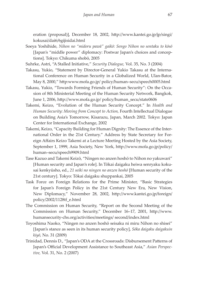eration (proposal)], December 18, 2002, http://www.kantei.go.jp/jp/singi/ kokusai/dai6/6gijisidai.html

- Soeya Yoshihide, *Nihon no "midoru pawā" gaikō: Sengo Nihon no sentaku to kōsō*  [Japan's "middle power" diplomacy: Postwar Japan's choices and conceptions]. Tokyo: Chikuma shobō, 2005
- Suhrke, Astri, "A Stalled Initiative," *Security Dialogue,* Vol. 35, No. 3 (2004)
- Takasu, Yukio, "Statement by Director-General Yukio Takasu at the International Conference on Human Security in a Globalized World, Ulan-Bator, May 8, 2000," http:www.mofa.go.jp/ policy/human–secu/speech0005.html
- Takasu, Yukio, "Towards Forming Friends of Human Security": On the Occasion of 8th Ministerial Meeting of the Human Security Network, Bangkok, June 1, 2006, http://www.mofa.go.jp/ policy/human\_secu/state0606
- Takemi, Keizo, "Evolution of the Human Security Concept." In *Health and Human Security: Moving from Concept to Action,* Fourth Intellectual Dialogue on Building Asia's Tomorrow, Kisarazu, Japan, March 2002. Tokyo: Japan Center for International Exchange, 2002
- Takemi, Keizo, "Capacity Building for Human Dignity: The Essence of the International Order in the 21st Century." Address by State Secretary for Foreign Affairs Keizo Takemi at a Lecture Meeting Hosted by the Asia Society, September 1, 1999, Asia Society, New York, http://www.mofa.go.jp/policy/ human–secu/speech9909.html
- Tase Kazuo and Takemi Keizō, "Ningen no anzen hoshō to Nihon no yakuwari" [Human security and Japan's role]. In Tōkai daigaku heiwa senryaku kokusai kenkyūsho, ed., *21 seiki no ningen no anzen hoshō* [Human security of the 21st century]. Tokyo: Tōkai daigaku shuppankai, 2005
- Task Force on Foreign Relations for the Prime Minister, "Basic Strategies for Japan's Foreign Policy in the 21st Century New Era, New Vision, New Diplomacy," November 28, 2002, http://www.kantei.go.jp/foreign/ policy/2002/1128tf\_e.html
- The Commission on Human Security, "Report on the Second Meeting of the Commission on Human Security," December 16–17, 2001, http://www. humansecurity-chs.org/activities/meetings/ second/index.html
- Toyoshima Naoko, "Ningen no anzen hoshō seisaku ni miru Nihon no shisei" [Japan's stance as seen in its human security policy], *Sōka daigaku daigakuin kiyō,* No. 31 (2009)
- Trinidad, Dennis D., "Japan's ODA at the Crossroads: Disbursement Patterns of Japan's Official Development Assistance to Southeast Asia," *Asian Perspective,* Vol. 31, No. 2 (2007)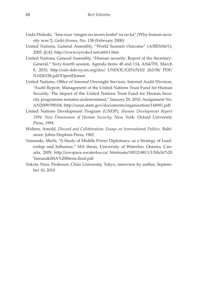- Ueda Hideaki, "Ima naze 'ningen no anzen hoshō' na no ka" [Why human security now?], *Gaikō fōramu,* No. 138 (February 2000)
- United Nations, General Assembly, "World Summit Outcome" (A/RES/60/1), 2005, §143, http://www.eytv4scf.net/a60r1.htm
- United Nations, General Assembly, "Human security: Report of the Secretary-General," Sixty-fourth session, Agenda items 48 and 114, A/64/701, March 8, 2010, http://ods-dds-ny.un.org/doc/ UNDOC/GEN/N10/ 263/38/ PDF/ N1026338.pdf?OpenElemen
- United Nations, Office of Internal Oversight Services, Internal Audit Division, "Audit Report, Management of the United Nations Trust Fund for Human Security: The impact of the United Nations Trust Fund for Human Security programme remains undetermined," January 29, 2010, Assignment No. AN2009/590/04, http://usun.state.gov/documents/organization/144941.pdf
- United Nations Development Program (UNDP), *Human Development Report 1994: New Dimensions of Human Security,* New York: Oxford University Press, 1994
- Wolfers, Arnold, *Discord and Collaboration: Essays on International Politics.* Baltimore: Johns Hopkins Press, 1962
- Yamasaki, Michi, "A Study of Middle Power Diplomacy: as a Strategy of Leadership and Influence," MA thesis, University of Waterloo, Ontario, Canada, 2009, http://uwspace.uwaterloo.ca/ bitstream/10012/4811/1/Michi%20 YamasakiMA%20thesis.final.pdf
- Yokota Yōzō, Professor, Chūō University, Tokyo, interview by author, September 10, 2010